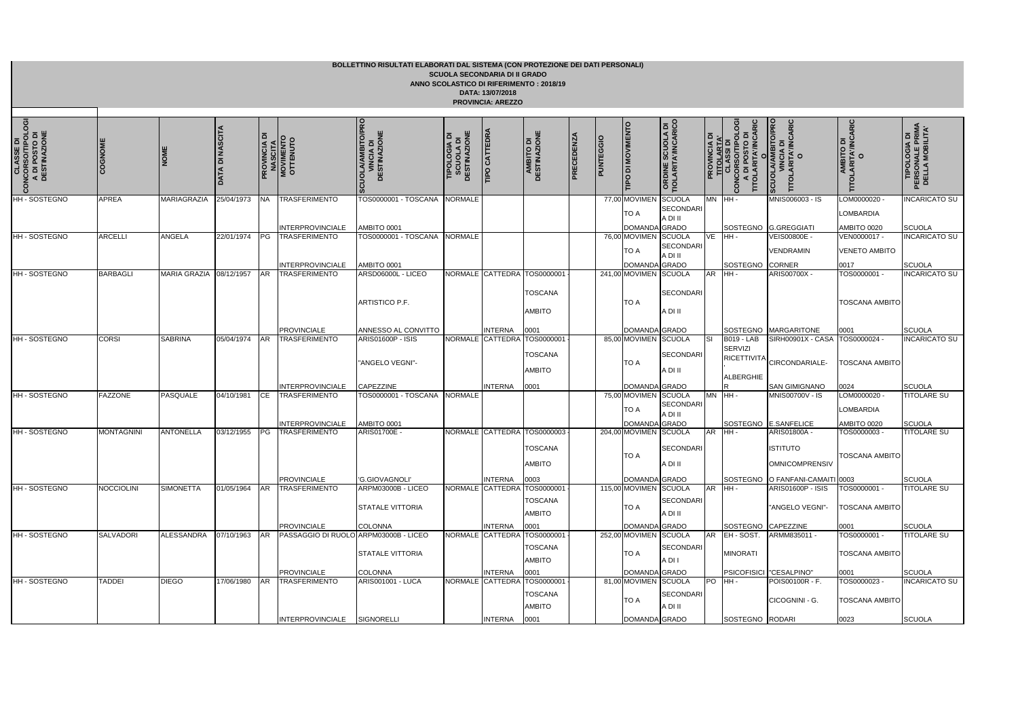|                                                                   |                   |                     |                        |                     |                                                 | BOLLETTINO RISULTATI ELABORATI DAL SISTEMA (CON PROTEZIONE DEI DATI PERSONALI) |                                                            | <b>SCUOLA SECONDARIA DI II GRADO</b><br>DATA: 13/07/2018<br><b>PROVINCIA: AREZZO</b> | ANNO SCOLASTICO DI RIFERIMENTO: 2018/19                                |           |                  |                                               |                                                 |                               |                                                                               |
|-------------------------------------------------------------------|-------------------|---------------------|------------------------|---------------------|-------------------------------------------------|--------------------------------------------------------------------------------|------------------------------------------------------------|--------------------------------------------------------------------------------------|------------------------------------------------------------------------|-----------|------------------|-----------------------------------------------|-------------------------------------------------|-------------------------------|-------------------------------------------------------------------------------|
| CLASSE DI<br>CONCORSO/TIPOLOGI<br>A DI POSTO DI<br>I DESTINAZIONE | COGNOME           | NOME                | <b>DATA DI NASCITA</b> | <b>PROVINCIA DI</b> | <b>NASCITA</b><br>MOVIMENTO<br>OTTENUTO         | <b>CUOLA/AMBITO/PRO</b><br><b>VINCIA DI<br/>DESTINAZIONE</b><br>ဖြ             | <b>SCUOLA DI<br/>DESTINAZIONE</b><br>ō<br><b>TIPOLOGIA</b> | <b>TIPO CATTEDRA</b>                                                                 | <b>AMBITO DI<br/>DESTINAZIONE</b>                                      | PRECEDENZ | <b>PUNTEGGIO</b> | <b>TIPO DI MOVIMENTO</b>                      | <b>ORDINE SCUOLA DI<br/>TIOLARITA'/INCARICO</b> | ᅙ<br>PROVINCIA<br><u>Indi</u> | TITOLARITA'/INCARIC<br>O<br>ŏ.<br>DI POSTO DI<br>CONCORSO/TIP<br>CONCORSO/TIP |
| HH - SOSTEGNO                                                     | <b>APREA</b>      | MARIAGRAZIA         | 25/04/1973             | <b>NA</b>           | <b>TRASFERIMENTO</b>                            | TOS0000001 - TOSCANA                                                           | <b>NORMALE</b>                                             |                                                                                      |                                                                        |           |                  | 77,00 MOVIMEN<br>TO A                         | <b>SCUOLA</b><br><b>SECONDARI</b><br>A DI II    | <b>MN</b>                     | $H$ HH -                                                                      |
| HH-SOSTEGNO                                                       | <b>ARCELLI</b>    | ANGELA              | 22/01/1974             | <b>PG</b>           | <b>INTERPROVINCIALE</b><br><b>TRASFERIMENTO</b> | AMBITO 0001<br>TOS0000001 - TOSCANA                                            | <b>NORMALE</b>                                             |                                                                                      |                                                                        |           |                  | DOMANDA GRADO<br>76,00 MOVIMEN SCUOLA<br>TO A | <b>SECONDARI</b><br>A DI II                     | <b>VE</b>                     | SOSTEGNO<br>IHH -                                                             |
| HH - SOSTEGNO                                                     | <b>BARBAGLI</b>   | <b>MARIA GRAZIA</b> | 08/12/1957             | <b>AR</b>           | <b>INTERPROVINCIALE</b><br><b>TRASFERIMENTO</b> | AMBITO 0001<br>ARSD06000L - LICEO                                              |                                                            | NORMALE CATTEDRA TOS0000001                                                          |                                                                        |           |                  | DOMANDA GRADO<br>241,00 MOVIMEN SCUOLA        |                                                 | <b>AR</b>                     | SOSTEGNO<br>IHH-                                                              |
|                                                                   |                   |                     |                        |                     |                                                 | ARTISTICO P.F.                                                                 |                                                            |                                                                                      | <b>TOSCANA</b><br><b>AMBITO</b>                                        |           |                  | <b>TO A</b>                                   | <b>SECONDARI</b><br>A DI II                     |                               |                                                                               |
|                                                                   |                   |                     |                        |                     | <b>PROVINCIALE</b>                              | ANNESSO AL CONVITTO                                                            |                                                            | <b>INTERNA</b>                                                                       | 0001                                                                   |           |                  | DOMANDA GRADO                                 |                                                 |                               | SOSTEGNO                                                                      |
| HH - SOSTEGNO                                                     | <b>CORSI</b>      | <b>SABRINA</b>      | 05/04/1974             | <b>AR</b>           | <b>TRASFERIMENTO</b><br><b>INTERPROVINCIALE</b> | <b>ARIS01600P - ISIS</b><br>"ANGELO VEGNI"-<br>CAPEZZINE                       |                                                            | <b>INTERNA</b>                                                                       | NORMALE CATTEDRA TOS0000001<br><b>TOSCANA</b><br><b>AMBITO</b><br>0001 |           |                  | 85,00 MOVIMEN SCUOLA<br>TO A<br>DOMANDA GRADO | <b>SECONDARI</b><br>A DI II                     | $\overline{\mathbf{s}}$       | <b>B019 - LAB</b><br>SERVIZI<br><b>RICETTIVITA</b><br><b>ALBERGHIE</b>        |
| HH - SOSTEGNO                                                     | <b>FAZZONE</b>    | PASQUALE            | 04/10/1981             | <b>ICE</b>          | <b>TRASFERIMENTO</b>                            | TOS0000001 - TOSCANA                                                           | <b>NORMALE</b>                                             |                                                                                      |                                                                        |           |                  | 75,00 MOVIMEN SCUOLA<br>TO A                  | SECONDARI<br>A DI II                            | <b>MN</b>                     | $H$ HH -                                                                      |
| HH - SOSTEGNO                                                     | <b>MONTAGNINI</b> | <b>ANTONELLA</b>    | 03/12/1955             | PG                  | <b>INTERPROVINCIALE</b>                         | AMBITO 0001<br>ARIS01700E -                                                    |                                                            |                                                                                      | NORMALE CATTEDRA TOS0000003                                            |           |                  | DOMANDA GRADO<br>204,00 MOVIMEN SCUOLA        |                                                 | AR                            | SOSTEGNO<br>$HH -$                                                            |
|                                                                   |                   |                     |                        |                     | TRASFERIMENTO<br><b>PROVINCIALE</b>             | 'G.GIOVAGNOLI'                                                                 |                                                            | <b>INTERNA</b>                                                                       | <b>TOSCANA</b><br><b>AMBITO</b><br>0003                                |           |                  | <b>TO A</b><br>DOMANDA GRADO                  | SECONDARI<br>A DI II                            |                               | SOSTEGNO                                                                      |
| HH - SOSTEGNO                                                     | NOCCIOLINI        | <b>SIMONETTA</b>    | 01/05/1964             |                     | AR TRASFERIMENTO                                | ARPM03000B - LICEO                                                             |                                                            |                                                                                      | NORMALE CATTEDRA TOS0000001                                            |           |                  | 115,00 MOVIMEN SCUOLA                         |                                                 | AR HH-                        |                                                                               |
|                                                                   |                   |                     |                        |                     | <b>PROVINCIALE</b>                              | <b>STATALE VITTORIA</b>                                                        |                                                            | <b>INTERNA</b>                                                                       | TOSCANA<br><b>AMBITO</b>                                               |           |                  | TO A<br>DOMANDA GRADO                         | <b>SECONDARI</b><br>A DI II                     |                               | SOSTEGNO                                                                      |
| HH - SOSTEGNO                                                     | <b>SALVADORI</b>  | <b>ALESSANDRA</b>   | 07/10/1963             | <b>AR</b>           | PASSAGGIO DI RUOLO ARPM03000B - LICEO           | <b>COLONNA</b>                                                                 |                                                            |                                                                                      | 0001<br>NORMALE CATTEDRA TOS0000001                                    |           |                  | 252,00 MOVIMEN SCUOLA                         |                                                 | <b>AR</b>                     | EH - SOST.                                                                    |
|                                                                   |                   |                     |                        |                     | <b>PROVINCIALE</b>                              | STATALE VITTORIA<br><b>COLONNA</b>                                             |                                                            | <b>INTERNA</b>                                                                       | TOSCANA<br>AMBITO                                                      |           |                  | TO A                                          | <b>SECONDARI</b><br>A DI I                      |                               | <b>MINORATI</b>                                                               |
| HH - SOSTEGNO                                                     | <b>TADDEI</b>     | <b>DIEGO</b>        | 17/06/1980             | <b>AR</b>           | <b>TRASFERIMENTO</b>                            | <b>ARIS001001 - LUCA</b>                                                       |                                                            |                                                                                      | 0001<br>NORMALE CATTEDRA TOS0000001<br><b>TOSCANA</b><br><b>AMBITO</b> |           |                  | DOMANDA GRADO<br>81,00 MOVIMEN SCUOLA<br>TO A | <b>SECONDARI</b><br>A DI II                     | P <sub>O</sub>                | <b>PSICOFISICI</b><br>IHH -                                                   |

| <b>SCUOLA/AMBITO/PRO</b><br><b>VINCIA DI</b><br>O        | AMBITO DI<br>O                 | <b>PERSONALE PRIM.<br/>DELLA MOBILITA'</b><br>TIPOLOGIA DI |
|----------------------------------------------------------|--------------------------------|------------------------------------------------------------|
| MNIS006003 - IS                                          | LOM0000020 -                   | <b>INCARICATO SU</b>                                       |
|                                                          | <b>LOMBARDIA</b>               |                                                            |
| <b>G.GREGGIATI</b>                                       | AMBITO 0020                    | SCUOLA                                                     |
| <b>VEIS00800E-</b>                                       | VEN0000017 -                   | <b>INCARICATO SU</b>                                       |
| VENDRAMIN                                                | <b>VENETO AMBITO</b>           |                                                            |
| CORNER                                                   | 0017                           | SCUOLA                                                     |
| ARIS00700X -                                             | TOS0000001 -<br>TOSCANA AMBITO | <b>INCARICATO SU</b>                                       |
| MARGARITONE                                              | 0001                           | SCUOLA                                                     |
| SIRH00901X - CASA<br>CIRCONDARIALE-                      | TOS0000024 -<br>TOSCANA AMBITO | INCARICATO SU                                              |
| SAN GIMIGNANO                                            | 0024                           | SCUOLA                                                     |
| MNIS00700V - IS                                          | LOM0000020 -                   | TITOLARE SU                                                |
|                                                          | LOMBARDIA                      |                                                            |
| <b>E.SANFELICE</b>                                       | AMBITO 0020                    | <b>SCUOLA</b>                                              |
| ARIS01800A -<br><b>ISTITUTO</b><br><b>OMNICOMPRENSIV</b> | TOS0000003 -<br>TOSCANA AMBITO | TITOLARE SU                                                |
| O FANFANI-CAMAITI 0003                                   |                                | <b>SCUOLA</b>                                              |
| ARIS01600P - ISIS<br>"ANGELO VEGNI"-                     | TOS0000001 -<br>TOSCANA AMBITO | TITOLARE SU                                                |
| CAPEZZINE                                                | 0001                           | SCUOLA                                                     |
| ARMM835011 -                                             | TOS0000001 -                   | TITOLARE SU                                                |
|                                                          | <b>TOSCANA AMBITO</b>          |                                                            |
| "CESALPINO"                                              | 0001                           | SCUOLA                                                     |
| POIS00100R - F.                                          | TOS0000023 -                   | <b>INCARICATO SU</b>                                       |
| CICOGNINI - G.                                           | <b>TOSCANA AMBITO</b>          |                                                            |
| RODARI                                                   | 0023                           | <b>SCUOLA</b>                                              |

INTERPROVINCIALE SIGNORELLI

INTERNA

0001

DOMANDA

GRADO | SOSTEGNO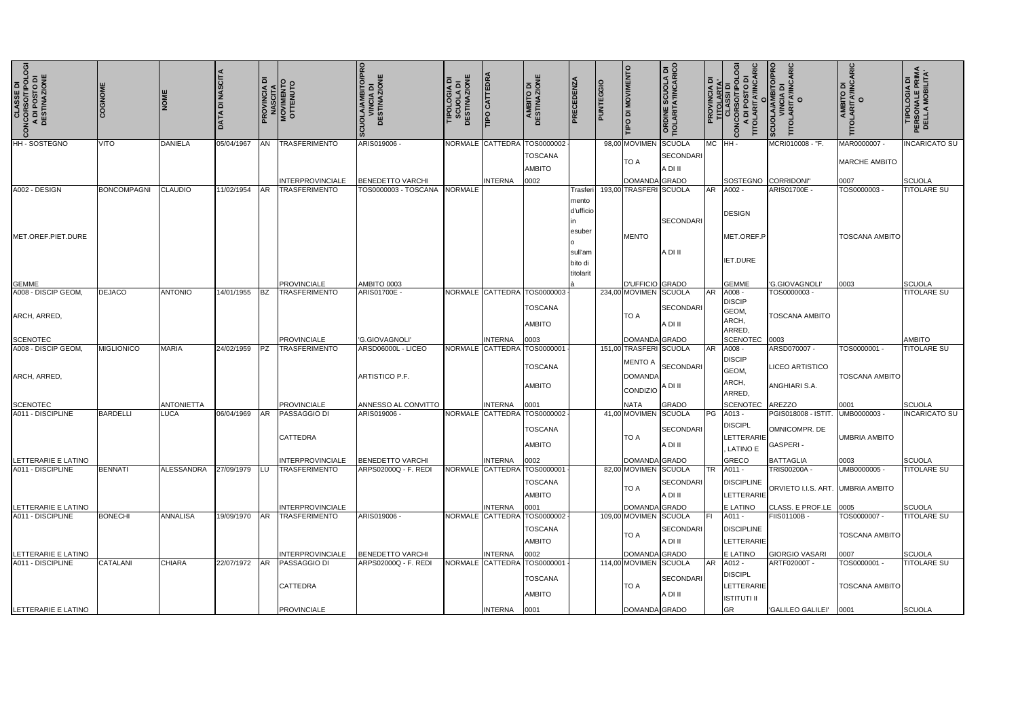| <b>CLASSE DI<br/>CONCORSO/TIPOLOGI</b><br>A DI POSTO DI<br>DESTINAZIONE<br>$\epsilon$ | COGNOME            | <b>INOMI</b>      | <b>DATA DI NASCITA</b> | ᅙ         | <b>PROVINCIA DI<br/>MASCITA<br/>MOVIMENTO<br/>OTTENUTO</b> | O/PRO<br><b>;UOLA/AMBITO/PI<br/>VINCIA DI<br/>DESTINAZIONE</b> | <b>DESTINAZIONE</b><br>TIPOLOGIA DI<br>SCUOLA DI | <b>TIPO CATTEDRA</b> | AMBITO DI<br>DESTINAZIONE                     | <b>PRECEDENZ</b>     | PUNTEGGIO | TIPO DI MOVIMENTO                                          | SCUOLA DI<br><b>TA'INCARICO</b><br><b>ORDINE 3</b><br>TIOLARIT/ |           | $\vec{a}$<br>ర్<br><b>CONCORSO/TIP</b><br>A DI POSTO<br>TITOLARITA/INC | CARIC<br><b>O/PR</b><br>SCUOLA/AMBITC<br>VINCIA DI<br>TITOLARITA/INC<br>TITOL | AMBITO DI<br>)LARITA/INCARIC<br>O<br><b>POLI</b> | <b>TIPOLOGIA DI<br/>PERSONALE PRIMA<br/>DELLA MOBILITA'</b> |
|---------------------------------------------------------------------------------------|--------------------|-------------------|------------------------|-----------|------------------------------------------------------------|----------------------------------------------------------------|--------------------------------------------------|----------------------|-----------------------------------------------|----------------------|-----------|------------------------------------------------------------|-----------------------------------------------------------------|-----------|------------------------------------------------------------------------|-------------------------------------------------------------------------------|--------------------------------------------------|-------------------------------------------------------------|
| HH - SOSTEGNO                                                                         | VITO               | <b>DANIELA</b>    | 05/04/1967             | <b>AN</b> | <b>TRASFERIMENTO</b>                                       | ARIS019006                                                     |                                                  | NORMALE CATTEDRA     | TOS0000002<br><b>TOSCANA</b><br><b>AMBITO</b> |                      |           | 98,00 MOVIMEN<br><b>TO A</b>                               | SCUOLA<br><b>SECONDARI</b><br>A DI II                           | MC HH-    |                                                                        | MCRI010008 - "F.                                                              | MAR0000007 -<br><b>MARCHE AMBITO</b>             | <b>INCARICATO SU</b>                                        |
|                                                                                       |                    |                   |                        |           | <b>INTERPROVINCIALE</b>                                    | <b>BENEDETTO VARCHI</b>                                        |                                                  | <b>INTERNA</b>       | 0002                                          |                      |           | DOMANDA GRADO                                              |                                                                 |           | SOSTEGNO                                                               | CORRIDONI"                                                                    | 0007                                             | <b>SCUOLA</b>                                               |
| A002 - DESIGN                                                                         | <b>BONCOMPAGNI</b> | <b>CLAUDIO</b>    | 11/02/1954             | <b>AR</b> | <b>TRASFERIMENTO</b>                                       | TOS0000003 - TOSCANA                                           | <b>NORMALE</b>                                   |                      |                                               | Trasferi             |           | 193,00 TRASFERI SCUOLA                                     |                                                                 | <b>AR</b> | A002 -                                                                 | ARIS01700E -                                                                  | TOS0000003                                       | <b>TITOLARE SU</b>                                          |
|                                                                                       |                    |                   |                        |           |                                                            |                                                                |                                                  |                      |                                               | mento<br>d'ufficio   |           |                                                            | SECONDARI                                                       |           | <b>DESIGN</b>                                                          |                                                                               |                                                  |                                                             |
| IMET.OREF.PIET.DURE                                                                   |                    |                   |                        |           |                                                            |                                                                |                                                  |                      |                                               | esuber<br>sull'am    |           | MENTO                                                      | A DI II                                                         |           | MET.OREF.P                                                             |                                                                               | <b>TOSCANA AMBITO</b>                            |                                                             |
|                                                                                       |                    |                   |                        |           |                                                            |                                                                |                                                  |                      |                                               | bito di<br>titolarit |           |                                                            |                                                                 |           | <b>IET.DURE</b>                                                        |                                                                               |                                                  |                                                             |
| <b>GEMME</b>                                                                          |                    |                   |                        |           | <b>PROVINCIALE</b>                                         | AMBITO 0003                                                    |                                                  |                      |                                               |                      |           | D'UFFICIO GRADO                                            |                                                                 |           | <b>GEMME</b>                                                           | 'G.GIOVAGNOLI'                                                                | 0003                                             | SCUOLA                                                      |
| A008 - DISCIP GEOM,                                                                   | DEJACO             | <b>ANTONIO</b>    | 14/01/1955             | IBZ.      | <b>TRASFERIMENTO</b>                                       | ARIS01700E                                                     |                                                  | NORMALE CATTEDRA     | TOS0000003<br>TOSCANA                         |                      |           | 234,00 MOVIMEN SCUOLA                                      | SECONDARI                                                       | <b>AR</b> | A008 -<br><b>DISCIP</b><br>GEOM,                                       | TOS0000003                                                                    |                                                  | <b>TITOLARE SU</b>                                          |
| ARCH, ARRED,                                                                          |                    |                   |                        |           |                                                            |                                                                |                                                  |                      | <b>AMBITO</b>                                 |                      |           | <b>TO A</b>                                                | A DI II                                                         |           | ARCH,<br>ARRED,                                                        | <b>TOSCANA AMBITO</b>                                                         |                                                  |                                                             |
| <b>SCENOTEC</b>                                                                       |                    |                   |                        |           | <b>PROVINCIALE</b>                                         | <b>G.GIOVAGNOLI</b>                                            |                                                  | <b>INTERNA</b>       | 0003                                          |                      |           | DOMANDA GRADO                                              |                                                                 |           | SCENOTEC                                                               | 0003                                                                          |                                                  | <b>AMBITO</b>                                               |
| A008 - DISCIP GEOM,<br>ARCH, ARRED.                                                   | <b>MIGLIONICO</b>  | <b>MARIA</b>      | 24/02/1959             | PZ        | <b>TRASFERIMENTO</b>                                       | ARSD06000L - LICEO<br><b>ARTISTICO P.F.</b>                    |                                                  | NORMALE CATTEDRA     | <b>TOS000000</b><br><b>TOSCANA</b>            |                      |           | 151,00 TRASFERI SCUOLA<br><b>MENTO A</b><br><b>DOMANDA</b> | SECONDARI                                                       | AR        | A008 -<br><b>DISCIP</b><br>GEOM,<br>ARCH,                              | ARSD070007 -<br><b>LICEO ARTISTICO</b>                                        | TOS0000001 -<br>TOSCANA AMBITO                   | <b>TITOLARE SU</b>                                          |
|                                                                                       |                    |                   |                        |           |                                                            |                                                                |                                                  |                      | <b>AMBITO</b>                                 |                      |           | CONDIZIO                                                   | A DI II                                                         |           | ARRED,                                                                 | ANGHIARI S.A.                                                                 |                                                  |                                                             |
| <b>SCENOTEC</b>                                                                       |                    | <b>ANTONIETTA</b> |                        |           | <b>PROVINCIALE</b>                                         | ANNESSO AL CONVITTO                                            |                                                  | <b>INTERNA</b>       | 0001                                          |                      |           | <b>NATA</b>                                                | <b>GRADO</b>                                                    |           | <b>SCENOTEC</b>                                                        | <b>AREZZO</b>                                                                 | 0001                                             | SCUOLA                                                      |
| A011 - DISCIPLINE                                                                     | <b>BARDELLI</b>    | <b>LUCA</b>       | 06/04/1969             | <b>AR</b> | <b>PASSAGGIO DI</b><br><b>CATTEDRA</b>                     | ARIS019006                                                     |                                                  | NORMALE CATTEDRA     | TOS0000002<br><b>TOSCANA</b><br><b>AMBITO</b> |                      |           | 41,00 MOVIMEN SCUOLA<br><b>TO A</b>                        | SECONDARI<br>A DI II                                            |           | PG A013 -<br><b>DISCIPL</b><br><b>LETTERARIE</b><br><b>LATINO E</b>    | PGIS018008 - ISTIT.<br>OMNICOMPR. DE<br><b>GASPERI-</b>                       | UMB0000003<br><b>UMBRIA AMBITO</b>               | <b>INCARICATO SU</b>                                        |
| LETTERARIE E LATINO                                                                   |                    |                   |                        |           | INTERPROVINCIALE                                           | <b>BENEDETTO VARCHI</b>                                        |                                                  | <b>INTERNA</b>       | 0002                                          |                      |           | DOMANDA GRADO                                              |                                                                 |           | <b>GRECO</b>                                                           | <b>BATTAGLIA</b>                                                              | 0003                                             | SCUOLA                                                      |
| A011 - DISCIPLINE                                                                     | <b>BENNATI</b>     | ALESSANDRA        | 27/09/1979             | LU        | <b>TRASFERIMENTO</b>                                       | ARPS02000Q - F. REDI                                           |                                                  | NORMALE CATTEDRA     | TOS000000<br><b>TOSCANA</b><br><b>AMBITO</b>  |                      |           | 82,00 MOVIMEN SCUOLA<br><b>TO A</b>                        | SECONDARI<br>A DI II                                            | <b>TR</b> | A011 -<br><b>DISCIPLINE</b><br><b>LETTERARIE</b>                       | TRIS00200A -<br>ORVIETO I.I.S. ART. UMBRIA AMBITO                             | UMB0000005-                                      | <b>TITOLARE SU</b>                                          |
| LETTERARIE E LATINO                                                                   |                    |                   |                        |           | INTERPROVINCIALE                                           |                                                                |                                                  | INTERNA              | 0001                                          |                      |           | DOMANDA GRADO                                              |                                                                 |           | E LATINO                                                               | CLASS. E PROF.LE                                                              | 0005                                             | SCUOLA                                                      |
| A011 - DISCIPLINE                                                                     | <b>BONECHI</b>     | <b>ANNALISA</b>   | 19/09/1970             | <b>AR</b> | <b>TRASFERIMENTO</b>                                       | ARIS019006 -                                                   |                                                  | NORMALE CATTEDRA     | TOS0000002<br><b>TOSCANA</b><br><b>AMBITO</b> |                      |           | 109,00 MOVIMEN SCUOLA<br>TO A                              | SECONDARI<br>A DI II                                            | IFL.      | A011 -<br><b>DISCIPLINE</b><br>LETTERARIE                              | FIIS01100B -                                                                  | TOS0000007 -<br><b>TOSCANA AMBITO</b>            | <b>TITOLARE SU</b>                                          |
| LETTERARIE E LATINO                                                                   |                    |                   |                        |           | INTERPROVINCIALE                                           | <b>BENEDETTO VARCHI</b>                                        |                                                  | <b>INTERNA</b>       | 0002                                          |                      |           | DOMANDA GRADO                                              |                                                                 |           | E LATINO                                                               | <b>GIORGIO VASARI</b>                                                         | 0007                                             | SCUOLA                                                      |
| A011 - DISCIPLINE                                                                     | <b>CATALANI</b>    | <b>CHIARA</b>     | 22/07/1972             | AR        | <b>PASSAGGIO DI</b><br><b>CATTEDRA</b>                     | ARPS02000Q - F. REDI                                           |                                                  |                      | NORMALE CATTEDRA TOS000000<br><b>TOSCANA</b>  |                      |           | 114,00 MOVIMEN SCUOLA<br><b>TO A</b>                       | SECONDARI                                                       |           | <b>DISCIPL</b><br>LETTERARIE                                           | ARTF02000T -                                                                  | TOS0000001 -<br><b>TOSCANA AMBITO</b>            | <b>TITOLARE SU</b>                                          |
|                                                                                       |                    |                   |                        |           |                                                            |                                                                |                                                  |                      | <b>AMBITO</b>                                 |                      |           |                                                            | A DI II                                                         |           | <b>ISTITUTI II</b>                                                     |                                                                               |                                                  |                                                             |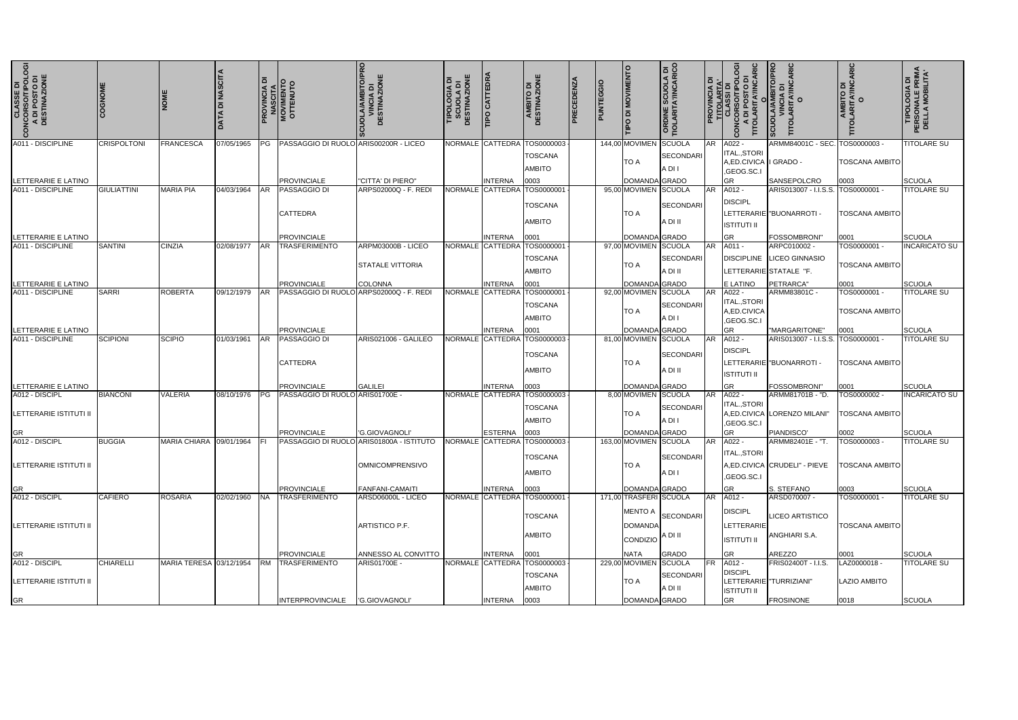| <b>CLASSE DI<br/>CONCORSO/TIPOLOGI</b><br>A DI POSTO DI<br>DESTINAZIONE | COGNOME            |                            | <b>DATA DI NASCITA</b> | ۱ā         | <b>PROVINCIA DI<br/>MASCITA<br/>MOVIMENTO<br/>OTTENUTO</b> | <b>CUOLA/AMBITO/PRO</b><br>VINCIA DI<br>DESTINAZIONE               | <b>SCUOLA DI<br/>DESTINAZIONE</b><br>TIPOLOGIA | <b>TIPO CATTEDRA</b> | AMBITO DI<br>DESTINAZIONE                                      | PRECEDENZA | PUNTEGGIO | <b>MOVIMENTO</b><br>$\frac{1}{\sqrt{2}}$   | SCUOLA DI<br><b>FA'INCARICO</b><br>ORDINE :<br>TOLARIT |           | RIC<br><b>PROVINCIA DI<br/>CLASSI DI<br/>CONCORSOTIPOLO<br/>CONCORSOTIPOLO<br/>A DI POSTO DI<br/>TITOLARITA/INCAR<br/>TITOLARITA/INCAR</b> | <b>SCUOLA/AMBITO/PRO<br/>VINCIA DI<br/>TITOLARITA/INCARIC<br/>TITOLARITA/INCARIC</b> | AMBITO DI<br>TITOLARITA/INCARIC<br>O  | <b>TIPOLOGIA DI<br/>PERSONALE PRIMA<br/>DELLA MOBILITA'</b> |
|-------------------------------------------------------------------------|--------------------|----------------------------|------------------------|------------|------------------------------------------------------------|--------------------------------------------------------------------|------------------------------------------------|----------------------|----------------------------------------------------------------|------------|-----------|--------------------------------------------|--------------------------------------------------------|-----------|--------------------------------------------------------------------------------------------------------------------------------------------|--------------------------------------------------------------------------------------|---------------------------------------|-------------------------------------------------------------|
| A011 - DISCIPLINE                                                       | <b>CRISPOLTONI</b> | <b>FRANCESCA</b>           | 07/05/1965             |            | PG   PASSAGGIO DI RUOLO ARIS00200R - LICEO                 |                                                                    |                                                |                      | NORMALE CATTEDRA TOS0000003<br><b>TOSCANA</b><br><b>AMBITO</b> |            |           | 144,00 MOVIMEN<br><b>TO A</b>              | SCUOLA<br>SECONDARI<br>A DI I                          | <b>AR</b> | A022 -<br><b>ITAL.,STORI</b><br>A, ED. CIVICA   GRADO -<br>,GEOG.SC.I                                                                      | ARMM84001C - SEC. TOS0000003 -                                                       | <b>TOSCANA AMBITO</b>                 | <b>TITOLARE SU</b>                                          |
| LETTERARIE E LATINO                                                     |                    |                            |                        |            | <b>PROVINCIALE</b>                                         | "CITTA' DI PIERO"                                                  |                                                | <b>INTERNA</b>       | 0003                                                           |            |           | DOMANDA GRADO                              |                                                        |           | GR.                                                                                                                                        | SANSEPOLCRO                                                                          | 0003                                  | SCUOLA                                                      |
| A011 - DISCIPLINE                                                       | <b>GIULIATTINI</b> | <b>MARIA PIA</b>           | 04/03/1964             | <b>AR</b>  | <b>PASSAGGIO DI</b>                                        | ARPS02000Q - F. REDI                                               |                                                |                      | NORMALE CATTEDRA TOS0000001                                    |            |           | 95,00 MOVIMEN SCUOLA                       |                                                        | <b>AR</b> | A012 -                                                                                                                                     | ARIS013007 - I.I.S.S. TOS0000001 -                                                   |                                       | <b>TITOLARE SU</b>                                          |
|                                                                         |                    |                            |                        |            | <b>CATTEDRA</b>                                            |                                                                    |                                                |                      | <b>TOSCANA</b><br><b>AMBITO</b>                                |            |           | <b>TO A</b>                                | SECONDARI<br>A DI II                                   |           | <b>DISCIPL</b><br><b>ISTITUTI II</b>                                                                                                       | LETTERARIE "BUONARROTI -                                                             | <b>TOSCANA AMBITO</b>                 |                                                             |
| LETTERARIE E LATINO                                                     |                    |                            |                        |            | <b>PROVINCIALE</b>                                         |                                                                    |                                                | <b>INTERNA</b>       | 0001                                                           |            |           | DOMANDA GRADO                              |                                                        |           | GR.                                                                                                                                        | FOSSOMBRONI"                                                                         | 0001                                  | SCUOLA                                                      |
| A011 - DISCIPLINE                                                       | <b>SANTINI</b>     | CINZIA                     | 02/08/1977   AR        |            | <b>TRASFERIMENTO</b>                                       | ARPM03000B - LICEO                                                 |                                                |                      | NORMALE CATTEDRA TOS0000001                                    |            |           | 97,00 MOVIMEN SCUOLA                       |                                                        | AR        | A011 -                                                                                                                                     | ARPC010002 -                                                                         | TOS0000001 -                          | <b>INCARICATO SU</b>                                        |
|                                                                         |                    |                            |                        |            |                                                            | <b>STATALE VITTORIA</b>                                            |                                                |                      | <b>TOSCANA</b><br><b>AMBITO</b>                                |            |           | TO A                                       | SECONDARI<br>A DI II                                   |           |                                                                                                                                            | DISCIPLINE LICEO GINNASIO<br>LETTERARIE STATALE "F.                                  | <b>TOSCANA AMBITO</b>                 |                                                             |
| LETTERARIE E LATINO                                                     |                    |                            |                        |            | <b>PROVINCIALE</b>                                         | <b>COLONNA</b>                                                     |                                                | <b>INTERNA</b>       | 0001                                                           |            |           | DOMANDA GRADO                              |                                                        |           | E LATINO                                                                                                                                   | PETRARCA"                                                                            | 0001                                  | SCUOLA                                                      |
| A011 - DISCIPLINE                                                       | <b>SARRI</b>       | ROBERTA                    | 09/12/1979 AR          |            | PASSAGGIO DI RUOLO ARPS02000Q - F. REDI                    |                                                                    |                                                |                      | NORMALE CATTEDRA TOS0000001<br><b>TOSCANA</b><br><b>AMBITO</b> |            |           | 92,00 MOVIMEN SCUOLA<br>TO A               | SECONDARI<br>A DI I                                    | <b>AR</b> | A022 -<br><b>ITAL.,STORI</b><br>A,ED.CIVICA                                                                                                | ARMM83801C -                                                                         | TOS0000001 -<br><b>TOSCANA AMBITO</b> | <b>TITOLARE SU</b>                                          |
|                                                                         |                    |                            |                        |            | <b>PROVINCIALE</b>                                         |                                                                    |                                                | <b>INTERNA</b>       |                                                                |            |           | DOMANDA GRADO                              |                                                        |           | ,GEOG.SC.I<br><b>GR</b>                                                                                                                    | "MARGARITONE"                                                                        |                                       | <b>SCUOLA</b>                                               |
| LETTERARIE E LATINO<br>A011 - DISCIPLINE                                | <b>SCIPIONI</b>    | SCIPIO                     | 01/03/1961             | <b>IAR</b> | <b>PASSAGGIO DI</b>                                        | ARIS021006 - GALILEO                                               |                                                | NORMALE CATTEDRA     | 0001<br>TOS0000003                                             |            |           | 81,00 MOVIMEN SCUOLA                       |                                                        | <b>AR</b> | A012 -                                                                                                                                     | ARIS013007 - I.I.S.S. TOS0000001 -                                                   | 0001                                  | <b>TITOLARE SU</b>                                          |
|                                                                         |                    |                            |                        |            | <b>CATTEDRA</b>                                            |                                                                    |                                                |                      | <b>TOSCANA</b><br><b>AMBITO</b>                                |            |           | TO A                                       | SECONDARI<br>A DI II                                   |           | <b>DISCIPL</b><br><b>ISTITUTI II</b>                                                                                                       | LETTERARIE "BUONARROTI -                                                             | <b>TOSCANA AMBITO</b>                 |                                                             |
| LETTERARIE E LATINO                                                     |                    |                            |                        |            | <b>PROVINCIALE</b>                                         | <b>GALILEI</b>                                                     |                                                | INTERNA              | 0003                                                           |            |           | DOMANDA GRADO                              |                                                        |           | GR.                                                                                                                                        | <b>FOSSOMBRONI"</b>                                                                  | 0001                                  | SCUOLA                                                      |
| A012 - DISCIPL<br>LETTERARIE ISTITUTI II                                | <b>BIANCONI</b>    | VALERIA                    |                        |            | 08/10/1976   PG   PASSAGGIO DI RUOLO ARIS01700E -          |                                                                    |                                                |                      | NORMALE CATTEDRA TOS0000003<br><b>TOSCANA</b><br><b>AMBITO</b> |            |           | 8,00 MOVIMEN SCUOLA<br>TO A                | SECONDARI<br>A DI I                                    | <b>AR</b> | A022 -<br><b>ITAL.,STORI</b><br>,GEOG.SC.I                                                                                                 | ARMM81701B - "D.<br>A, ED. CIVICA LORENZO MILANI"                                    | TOS0000002 -<br><b>TOSCANA AMBITO</b> | <b>INCARICATO SU</b>                                        |
| <b>GR</b>                                                               |                    |                            |                        |            | <b>PROVINCIALE</b>                                         | I'G.GIOVAGNOLI'                                                    |                                                | ESTERNA 0003         |                                                                |            |           | <b>DOMANDA</b> GRADO                       |                                                        |           | GR.                                                                                                                                        | PIANDISCO'                                                                           | 0002                                  | <b>SCUOLA</b>                                               |
| A012 - DISCIPL<br><b>LETTERARIE ISTITUTI II</b>                         | <b>BUGGIA</b>      | MARIA CHIARA 09/01/1964 FI |                        |            |                                                            | PASSAGGIO DI RUOLO ARIS01800A - ISTITUTO<br><b>OMNICOMPRENSIVO</b> |                                                |                      | NORMALE CATTEDRA TOS0000003<br><b>TOSCANA</b><br><b>AMBITO</b> |            |           | 163,00 MOVIMEN SCUOLA<br><b>TO A</b>       | SECONDARI<br>A DI I                                    |           | AR A022 -<br>ITAL., STORI<br>,GEOG.SC.I                                                                                                    | ARMM82401E - "T.<br>A, ED. CIVICA CRUDELI" - PIEVE   TOSCANA AMBITO                  | TOS0000003 -                          | <b>TITOLARE SU</b>                                          |
| GR                                                                      |                    |                            |                        |            | <b>PROVINCIALE</b>                                         | <b>FANFANI-CAMAITI</b>                                             |                                                | <b>INTERNA</b>       | 0003                                                           |            |           | DOMANDA GRADO                              |                                                        |           | GR.                                                                                                                                        | S. STEFANO                                                                           | 0003                                  | SCUOLA                                                      |
| A012 - DISCIPL                                                          | <b>CAFIERO</b>     | <b>ROSARIA</b>             | 02/02/1960 NA          |            | <b>TRASFERIMENTO</b>                                       | ARSD06000L - LICEO                                                 |                                                |                      | NORMALE CATTEDRA TOS0000001                                    |            |           | 171,00 TRASFERI SCUOLA                     |                                                        |           |                                                                                                                                            | ARSD070007 -                                                                         | TOS0000001 -                          | <b>TITOLARE SU</b>                                          |
| LETTERARIE ISTITUTI II                                                  |                    |                            |                        |            |                                                            | ARTISTICO P.F.                                                     |                                                |                      | <b>TOSCANA</b><br><b>AMBITO</b>                                |            |           | <b>DOMANDA</b><br><b>ICONDIZIO</b> A DI II | MENTO A SECONDARI'                                     |           | <b>DISCIPL</b><br>LETTERARIE<br><b>ISTITUTI II</b>                                                                                         | LICEO ARTISTICO<br>ANGHIARI S.A.                                                     | <b>TOSCANA AMBITO</b>                 |                                                             |
| <b>GR</b>                                                               |                    |                            |                        |            | <b>PROVINCIALE</b>                                         | ANNESSO AL CONVITTO                                                |                                                | <b>INTERNA</b>       | 0001                                                           |            |           | <b>NATA</b>                                | GRADO                                                  |           | GR                                                                                                                                         | <b>AREZZO</b>                                                                        | 0001                                  | SCUOLA                                                      |
| A012 - DISCIPL<br><b>LETTERARIE ISTITUTI II</b>                         | <b>CHIARELLI</b>   | MARIA TERESA 03/12/1954    |                        |            | RM TRASFERIMENTO                                           | ARIS01700E -                                                       |                                                |                      | NORMALE CATTEDRA TOS0000003<br><b>TOSCANA</b><br><b>AMBITO</b> |            |           | 229,00 MOVIMEN SCUOLA<br>TO A              | SECONDARI<br>A DI II                                   | <b>FR</b> | A012 -<br><b>DISCIPL</b><br><b>ISTITUTI II</b>                                                                                             | FRIS02400T - I.I.S.<br>LETTERARIE TURRIZIANI"                                        | LAZ0000018-<br><b>LAZIO AMBITO</b>    | <b>TITOLARE SU</b>                                          |
| GR                                                                      |                    |                            |                        |            | INTERPROVINCIALE  'G.GIOVAGNOLI'                           |                                                                    |                                                | <b>INTERNA</b>       | 0003                                                           |            |           | DOMANDA GRADO                              |                                                        |           | <b>GR</b>                                                                                                                                  | <b>FROSINONE</b>                                                                     | 0018                                  | SCUOLA                                                      |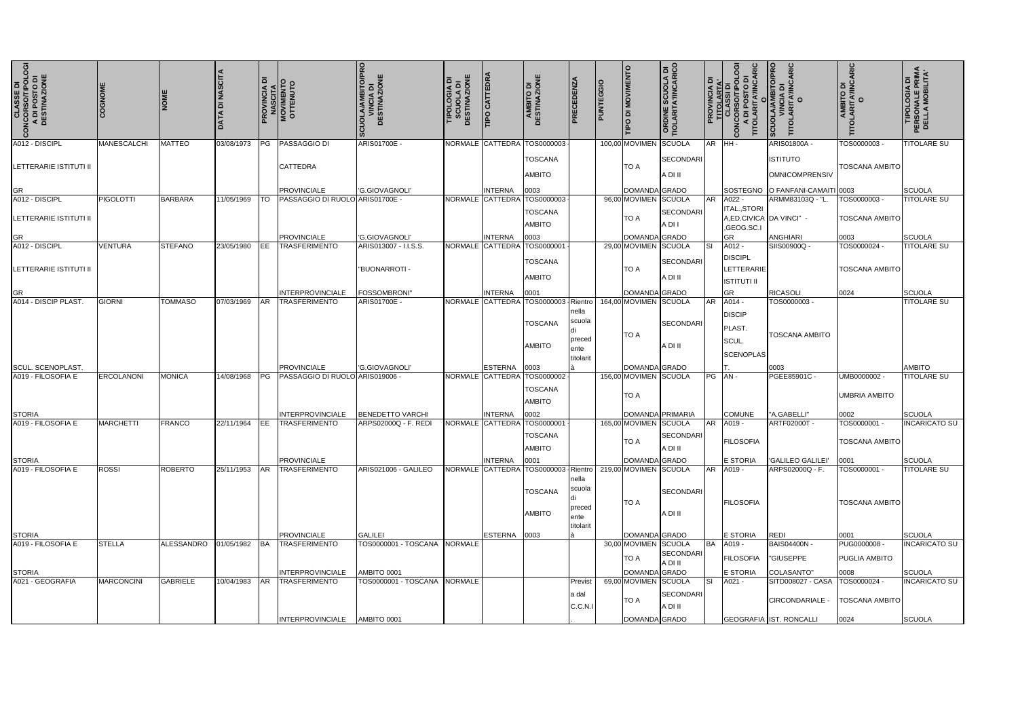| <b>CLASSE DI<br/>CONCORSO/TIPOLOGI<br/>A DI POSTO DI<br/>DESTINAZIONE</b> | COGNOME           | <b>NOME</b>     | $\overline{a}$ | ā          | <b>NCIA DI<br/>SCITA<br/>SINTO<br/>SINTO</b><br><b>PROVINCI<br/>NASCIT<br/>MOVIMEN<br/>OTTENU</b> | SCUOLA/AMBITO/PRO<br>VINCIA DI<br>DESTINAZIONE | <b>TIPOLOGIA DI<br/>SCUOLA DI<br/>SCUOLA DI</b><br>DESTINAZIONE | <b>TIPO CATTEDRA</b>               | AMBITO DI<br>DESTINAZIONE                     | PRECEDENZA                                                | PUNTEGGI | <b>TIPO DI MOVIMENTO</b>               | <b>ORDINE SCUOLA DI<br/>TIOLARITA/INCARICO</b> | $\overline{a}$ : | RIC<br><b>PROVINCIA<br/>TITOLARTA</b><br>CLASSI DI<br>CLASSI DIPOSTO<br>A DI POSTO<br><b>DNC</b> | <b>/AMBITO/PRO<br/>NCIA DI</b><br><b>ARITA'/INCARIC</b><br><b>MTONOS</b><br>TITOLAI | <b>AMBITO DI<br/>TOLARITA'/INCARIC<br/>O</b> | <b>TIPOLOGIA DI<br/>PERSONALE PRIMA<br/>DELLA MOBILITA'</b> |
|---------------------------------------------------------------------------|-------------------|-----------------|----------------|------------|---------------------------------------------------------------------------------------------------|------------------------------------------------|-----------------------------------------------------------------|------------------------------------|-----------------------------------------------|-----------------------------------------------------------|----------|----------------------------------------|------------------------------------------------|------------------|--------------------------------------------------------------------------------------------------|-------------------------------------------------------------------------------------|----------------------------------------------|-------------------------------------------------------------|
| A012 - DISCIPL                                                            | MANESCALCHI       | <b>MATTEO</b>   | 03/08/1973     | PG         | <b>PASSAGGIO DI</b>                                                                               | ARIS01700E -                                   |                                                                 | NORMALE CATTEDRA                   | TOS0000003                                    |                                                           |          | 100,00 MOVIMEN                         | SCUOLA                                         |                  | AR HH-                                                                                           | <b>ARIS01800A -</b>                                                                 | TOS0000003-                                  | <b>TITOLARE SU</b>                                          |
| LETTERARIE ISTITUTI II                                                    |                   |                 |                |            | <b>CATTEDRA</b>                                                                                   |                                                |                                                                 |                                    | <b>TOSCANA</b><br><b>AMBITO</b>               |                                                           |          | <b>TO A</b>                            | SECONDARI<br>A DI II                           |                  |                                                                                                  | <b>ISTITUTO</b><br><b>OMNICOMPRENSIV</b>                                            | <b>TOSCANA AMBITO</b>                        |                                                             |
|                                                                           |                   |                 |                |            | <b>PROVINCIALE</b>                                                                                | 'G.GIOVAGNOLI'                                 |                                                                 | <b>INTERNA</b>                     | 0003                                          |                                                           |          | DOMANDA GRADO                          |                                                |                  |                                                                                                  | SOSTEGNO O FANFANI-CAMAITI 0003                                                     |                                              | <b>SCUOLA</b>                                               |
| GR<br>A012 - DISCIPL                                                      | <b>PIGOLOTTI</b>  | <b>BARBARA</b>  | 11/05/1969     |            | PASSAGGIO DI RUOLO ARIS01700E -                                                                   |                                                | <b>NORMALE</b>                                                  | <b>CATTEDR</b>                     | TOS0000003                                    |                                                           |          | 96,00 MOVIMEN SCUOLA                   |                                                | <b>AR</b>        | A022 -                                                                                           | ARMM83103Q - "L                                                                     | TOS0000003                                   | <b>TITOLARE SU</b>                                          |
| LETTERARIE ISTITUTI II                                                    |                   |                 |                |            |                                                                                                   |                                                |                                                                 |                                    | <b>TOSCANA</b><br><b>AMBITO</b>               |                                                           |          | TO A                                   | SECONDARI<br>A DI I                            |                  | <b>ITAL.,STORI</b><br>A,ED.CIVICA DA VINCI" -<br>,GEOG.SC.I                                      |                                                                                     | <b>TOSCANA AMBITO</b>                        |                                                             |
| GR<br>A012 - DISCIPL                                                      | <b>VENTURA</b>    | <b>STEFANO</b>  | 23/05/1980     |            | <b>PROVINCIALE</b><br><b>TRASFERIMENTO</b>                                                        | 'G.GIOVAGNOLI'<br>ARIS013007 - I.I.S.S.        |                                                                 | <b>INTERNA</b><br>NORMALE CATTEDRA | 0003<br>TOS0000001                            |                                                           |          | DOMANDA GRADO<br>29,00 MOVIMEN SCUOLA  |                                                |                  | GR<br>$A012 -$                                                                                   | <b>ANGHIARI</b><br>SIIS00900Q -                                                     | 0003<br>TOS0000024 -                         | <b>SCUOLA</b><br><b>TITOLARE SU</b>                         |
| <b>LETTERARIE ISTITUTI II</b>                                             |                   |                 |                |            |                                                                                                   | "BUONARROTI -                                  |                                                                 |                                    | <b>TOSCANA</b><br><b>AMBITO</b>               |                                                           |          | <b>TO A</b>                            | <b>SECONDARI</b><br>A DI II                    |                  | <b>DISCIPL</b><br>LETTERARIE<br><b>ISTITUTI II</b>                                               |                                                                                     | <b>TOSCANA AMBITO</b>                        |                                                             |
| <b>GR</b>                                                                 |                   |                 |                |            | <b>INTERPROVINCIALE</b>                                                                           | FOSSOMBRONI"                                   |                                                                 | <b>INTERNA</b>                     | 0001                                          |                                                           |          | DOMANDA GRADO                          |                                                |                  | GR.                                                                                              | <b>RICASOLI</b>                                                                     | 0024                                         | <b>SCUOLA</b>                                               |
| A014 - DISCIP PLAST                                                       | GIORNI            | <b>TOMMASO</b>  | 07/03/1969     | AR         | <b>TRASFERIMENTO</b>                                                                              | ARIS01700E -                                   | <b>NORMALE</b>                                                  | <b>CATTEDRA</b>                    | TOS0000003<br><b>TOSCANA</b><br><b>AMBITO</b> | Rientro<br>nella<br>scuola<br>preced<br>ente<br>titolarit |          | 164,00 MOVIMEN SCUOLA<br><b>TO A</b>   | SECONDARI<br>A DI II                           | <b>AR</b>        | A014 -<br><b>DISCIP</b><br>PLAST.<br><b>SCUL</b><br><b>SCENOPLAS</b>                             | TOS0000003<br><b>TOSCANA AMBITO</b>                                                 |                                              | <b>TITOLARE SU</b>                                          |
| SCUL. SCENOPLAST.<br>A019 - FILOSOFIA E                                   | ERCOLANONI        | <b>MONICA</b>   | 14/08/1968     | PG         | <b>PROVINCIALE</b><br>PASSAGGIO DI RUOLO ARIS019006 -                                             | 'G.GIOVAGNOLI                                  |                                                                 | <b>ESTERNA</b>                     | 0003<br>NORMALE CATTEDRA TOS0000002           |                                                           |          | DOMANDA GRADO<br>156,00 MOVIMEN SCUOLA |                                                |                  | PG AN-                                                                                           | 0003<br>PGEE85901C -                                                                | UMB0000002 -                                 | <b>AMBITO</b><br><b>TITOLARE SU</b>                         |
|                                                                           |                   |                 |                |            | <b>INTERPROVINCIALE</b>                                                                           | <b>BENEDETTO VARCHI</b>                        |                                                                 | <b>INTERNA</b>                     | <b>TOSCANA</b><br><b>AMBITO</b>               |                                                           |          | <b>TO A</b><br>DOMANDA PRIMARIA        |                                                |                  | <b>COMUNE</b>                                                                                    | "A.GABELLI"                                                                         | <b>UMBRIA AMBITO</b><br>0002                 | <b>SCUOLA</b>                                               |
| <b>STORIA</b><br>A019 - FILOSOFIA E                                       | <b>MARCHETTI</b>  | <b>FRANCO</b>   | 22/11/1964     | EE         | <b>TRASFERIMENTO</b>                                                                              | ARPS02000Q - F. REDI                           |                                                                 |                                    | 0002<br>NORMALE CATTEDRA TOS0000001           |                                                           |          | 165,00 MOVIMEN SCUOLA                  |                                                | <b>AR</b>        | A019 -                                                                                           | ARTF02000T -                                                                        | TOS0000001 -                                 | <b>INCARICATO SU</b>                                        |
| <b>STORIA</b>                                                             |                   |                 |                |            | <b>PROVINCIALE</b>                                                                                |                                                |                                                                 | <b>INTERNA</b>                     | <b>TOSCANA</b><br>AMBITO<br>0001              |                                                           |          | TO A<br>DOMANDA GRADO                  | SECONDARI<br>A DI II                           |                  | <b>FILOSOFIA</b><br><b>E STORIA</b>                                                              | <b>GALILEO GALILEI'</b>                                                             | <b>TOSCANA AMBITO</b><br>0001                | <b>SCUOLA</b>                                               |
| A019 - FILOSOFIA E                                                        | <b>ROSSI</b>      | <b>ROBERTO</b>  | 25/11/1953     | <b>AR</b>  | <b>TRASFERIMENTO</b>                                                                              | ARIS021006 - GALILEO                           |                                                                 |                                    | NORMALE CATTEDRA TOS0000003 Rientro           |                                                           |          | 219,00 MOVIMEN SCUOLA                  |                                                | <b>AR</b>        | A019 -                                                                                           | ARPS02000Q - F.                                                                     | TOS0000001 -                                 | <b>TITOLARE SU</b>                                          |
|                                                                           |                   |                 |                |            |                                                                                                   |                                                |                                                                 |                                    | <b>TOSCANA</b><br><b>AMBITO</b>               | nella<br>scuola<br>preced<br>ente                         |          | <b>TO A</b>                            | SECONDARI<br>A DI II                           |                  | <b>FILOSOFIA</b>                                                                                 |                                                                                     | <b>TOSCANA AMBITC</b>                        |                                                             |
| <b>STORIA</b>                                                             |                   |                 |                |            | <b>PROVINCIALE</b>                                                                                | GALILEI                                        |                                                                 | <b>ESTERNA</b>                     | 0003                                          | titolarit                                                 |          | DOMANDA GRADO                          |                                                |                  | <b>E STORIA</b>                                                                                  | <b>REDI</b>                                                                         | 0001                                         | <b>SCUOLA</b>                                               |
| A019 - FILOSOFIA E                                                        | STELLA            | ALESSANDRO      | 01/05/1982     | <b>IBA</b> | <b>TRASFERIMENTO</b>                                                                              | TOS0000001 - TOSCANA NORMALE                   |                                                                 |                                    |                                               |                                                           |          | 30,00 MOVIMEN SCUOLA<br>TO A           | SECONDARI<br>A DI II                           | <b>BA</b>        | A019 -<br><b>FILOSOFIA</b>                                                                       | <b>BAIS04400N -</b><br>"GIUSEPPE                                                    | PUG0000008<br>PUGLIA AMBITO                  | <b>INCARICATO SU</b>                                        |
| <b>STORIA</b>                                                             |                   |                 |                |            | <b>INTERPROVINCIALE</b>                                                                           | AMBITO 0001                                    |                                                                 |                                    |                                               |                                                           |          | DOMANDA GRADO                          |                                                |                  | E STORIA                                                                                         | COLASANTO"                                                                          | 0008                                         | <b>SCUOLA</b>                                               |
| A021 - GEOGRAFIA                                                          | <b>MARCONCINI</b> | <b>GABRIELE</b> | 10/04/1983     | <b>AR</b>  | <b>TRASFERIMENTO</b>                                                                              | TOS0000001 - TOSCANA NORMALE                   |                                                                 |                                    |                                               | Previst<br>a dal<br>C.C.N.I                               |          | 69,00 MOVIMEN SCUOLA<br><b>TO A</b>    | SECONDARI<br>A DI II                           |                  | A021 -                                                                                           | SITD008027 - CASA<br>CIRCONDARIALE -                                                | TOS0000024 -<br><b>TOSCANA AMBITC</b>        | <b>INCARICATO SU</b>                                        |
|                                                                           |                   |                 |                |            | <b>INTERPROVINCIALE</b>                                                                           | AMBITO 0001                                    |                                                                 |                                    |                                               |                                                           |          | DOMANDA GRADO                          |                                                |                  |                                                                                                  | GEOGRAFIA IST. RONCALLI                                                             | 0024                                         | <b>SCUOLA</b>                                               |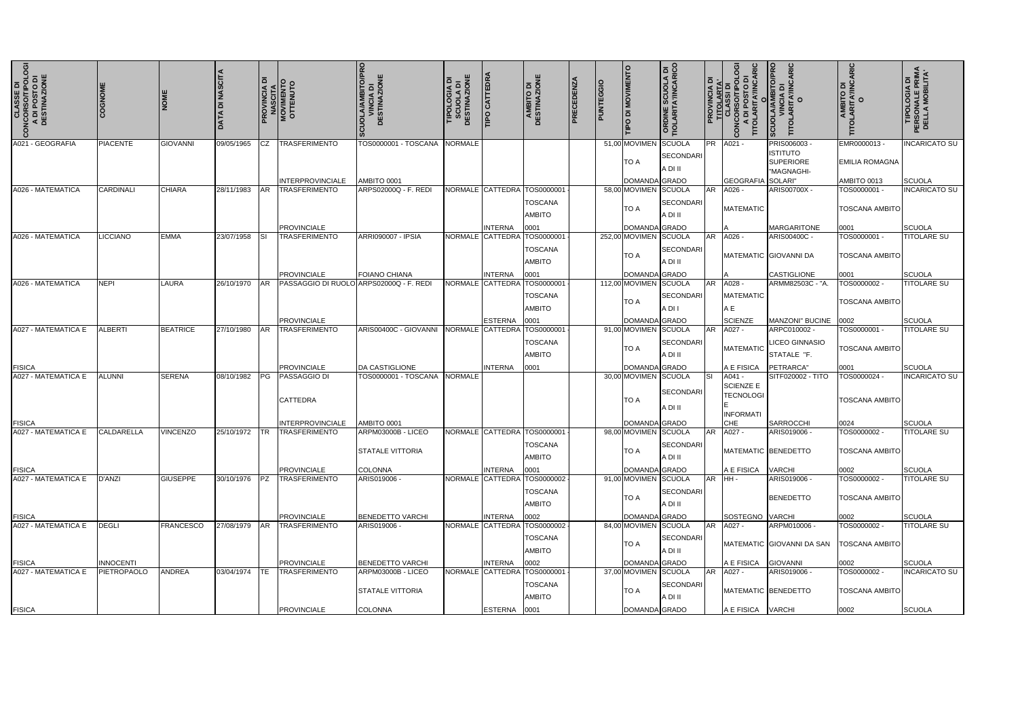| <b>CLASSE DI<br/>20NCORSO/TIPOLOGI<br/>A DI POSTO DI<br/>DESTINAZIONE</b><br>$\mathbf{c}$ | COGNOM             | <b>NOM</b>       | DI NASCITA<br>DATA | ᅙ         | <b>PROVINCIA DI<br/>MASCITA<br/>MOVIMENTO<br/>OTTENUTO</b> | <b>CUOLA/AMBITO/PRO</b><br><b>VINCIA DI<br/>DESTINAZIONE</b> | TIPOLOGIA DI<br>SCUOLA DI<br>DESTINAZIONE | <b>TIPO CATTEDRA</b> | AMBITO DI<br>DESTINAZIONE                                      | PRECEDENZA | PUNTEGGIO | TIPO DI MOVIMENTO                   | <b>ORDINE SCUOLA DI<br/>TIOLARITA'/INCARICO</b><br>$\Omega$ : | ပ္ပ<br>$\overline{a}$<br><b>CONCORSO/TIPOL</b><br>A DI POSTO DI<br>TITOLARITA/INCA | CARIC<br><b>SCUOLA/AMBITO/P<br/>VINCIA DI<br/>TITOLARITA/INCAF<br/>TITOLARITA/INCAF</b> | <b>AMBITO DI<br/>TITOLARITA/INCARIC<br/>TITOLARITA/INCARIC</b> | <b>THPOLOGIA DI<br/>PERSONALE PRIMA<br/>DELLA MOBILITA'</b> |
|-------------------------------------------------------------------------------------------|--------------------|------------------|--------------------|-----------|------------------------------------------------------------|--------------------------------------------------------------|-------------------------------------------|----------------------|----------------------------------------------------------------|------------|-----------|-------------------------------------|---------------------------------------------------------------|------------------------------------------------------------------------------------|-----------------------------------------------------------------------------------------|----------------------------------------------------------------|-------------------------------------------------------------|
| A021 - GEOGRAFIA                                                                          | <b>PIACENTE</b>    | <b>GIOVANNI</b>  | 09/05/1965         | CZ.       | <b>TRASFERIMENTO</b>                                       | TOS0000001 - TOSCANA                                         | NORMALE                                   |                      |                                                                |            |           | 51,00 MOVIMEN<br><b>TO A</b>        | SCUOLA<br><b>PR</b><br><b>SECONDARI</b><br>A DI II            | A021 -                                                                             | PRIS006003 -<br><b>ISTITUTO</b><br><b>SUPERIORE</b><br>"MAGNAGHI-                       | EMR0000013-<br><b>EMILIA ROMAGNA</b>                           | <b>INCARICATO SU</b>                                        |
|                                                                                           |                    |                  |                    |           | <b>INTERPROVINCIALE</b>                                    | AMBITO 0001                                                  |                                           |                      |                                                                |            |           | <b>DOMANDA</b>                      | <b>SCRADO</b>                                                 | GEOGRAFIA SOLARI"                                                                  |                                                                                         | AMBITO 0013                                                    | <b>SCUOLA</b>                                               |
| A026 - MATEMATICA                                                                         | CARDINALI          | <b>CHIARA</b>    | 28/11/1983         | <b>AR</b> | <b>TRASFERIMENTO</b>                                       | ARPS02000Q - F. REDI                                         |                                           | NORMALE CATTEDRA     | TOS0000001<br><b>TOSCANA</b><br><b>AMBITO</b>                  |            |           | 58,00 MOVIMEN<br><b>TO A</b>        | SCUOLA<br><b>AR</b><br><b>SECONDARI</b><br>A DI II            | A026<br><b>MATEMATIC</b>                                                           | ARIS00700X -                                                                            | TOS0000001<br><b>TOSCANA AMBITO</b>                            | <b>INCARICATO SU</b>                                        |
|                                                                                           |                    |                  |                    |           | PROVINCIALE                                                |                                                              |                                           | INTERNA              | 0001                                                           |            |           | DOMANDA GRADO                       |                                                               |                                                                                    | <b>MARGARITONE</b>                                                                      | 0001                                                           | <b>SCUOLA</b>                                               |
| A026 - MATEMATICA                                                                         | <b>LICCIANO</b>    | <b>EMMA</b>      | 23/07/1958         |           | <b>TRASFERIMENTO</b>                                       | ARRI090007 - IPSIA                                           |                                           | NORMALE CATTEDRA     | TOS000000<br><b>TOSCANA</b><br><b>AMBITO</b>                   |            |           | 252,00 MOVIMEN<br><b>TO A</b>       | <b>SCUOLA</b><br><b>AR</b><br><b>SECONDARI</b><br>A DI II     | A026                                                                               | ARIS00400C -<br><b>MATEMATIC GIOVANNI DA</b>                                            | TOS0000001 -<br><b>TOSCANA AMBITO</b>                          | <b>TITOLARE SU</b>                                          |
|                                                                                           |                    |                  |                    |           | PROVINCIALE                                                | <b>FOIANO CHIANA</b>                                         |                                           | INTERNA              | 0001                                                           |            |           | DOMANDA GRADO                       |                                                               |                                                                                    | <b>CASTIGLIONE</b>                                                                      | 0001                                                           | SCUOLA                                                      |
| A026 - MATEMATICA                                                                         | NEPI               | LAURA            | 26/10/1970         | <b>AR</b> | PASSAGGIO DI RUOLO ARPS02000Q - F. REDI                    |                                                              |                                           | NORMALE CATTEDRA     | TOS000000<br><b>TOSCANA</b><br><b>AMBITO</b>                   |            |           | 112,00 MOVIMEN<br><b>TO A</b>       | SCUOLA<br><b>AR</b><br><b>SECONDARI</b><br>A DI I             | A028 -<br><b>MATEMATIC</b><br>A E                                                  | ARMM82503C - "A.                                                                        | TOS0000002 -<br><b>TOSCANA AMBITO</b>                          | <b>TITOLARE SU</b>                                          |
|                                                                                           |                    |                  |                    |           | <b>PROVINCIALE</b>                                         |                                                              |                                           | <b>ESTERNA</b>       | 0001                                                           |            |           | DOMANDA GRADO                       |                                                               | <b>SCIENZE</b>                                                                     | MANZONI" BUCINE                                                                         | 0002                                                           | <b>SCUOLA</b>                                               |
| A027 - MATEMATICA E                                                                       | <b>ALBERTI</b>     | <b>BEATRICE</b>  | 27/10/1980         | <b>AR</b> | <b>TRASFERIMENTO</b>                                       | ARIS00400C - GIOVANNI                                        |                                           | NORMALE CATTEDRA     | TOS0000001<br><b>TOSCANA</b><br><b>AMBITO</b>                  |            |           | 91,00 MOVIMEN<br><b>TO A</b>        | SCUOLA<br><b>AR</b><br><b>SECONDARI</b><br>A DI II            | A027 -<br><b>MATEMATIC</b>                                                         | ARPC010002 -<br><b>LICEO GINNASIO</b><br>STATALE "F.                                    | TOS0000001 -<br><b>TOSCANA AMBITO</b>                          | <b>TITOLARE SU</b>                                          |
| <b>FISICA</b>                                                                             |                    |                  |                    |           | <b>PROVINCIALE</b>                                         | <b>DA CASTIGLIONE</b>                                        |                                           | <b>INTERNA</b>       | 0001                                                           |            |           | DOMANDA GRADO                       |                                                               | A E FISICA                                                                         | PETRARCA"                                                                               | 0001                                                           | SCUOLA                                                      |
| A027 - MATEMATICA E                                                                       | <b>ALUNNI</b>      | <b>SERENA</b>    | 08/10/1982         | <b>PG</b> | PASSAGGIO DI<br><b>CATTEDRA</b>                            | TOS0000001 - TOSCANA                                         | <b>NORMALE</b>                            |                      |                                                                |            |           | 30,00 MOVIMEN<br><b>TO A</b>        | SCUOLA<br>SI<br><b>SECONDARI</b><br>A DI II                   | A041 -<br>SCIENZE E<br><b>TECNOLOGI</b><br><b>INFORMATI</b>                        | SITF020002 - TITO                                                                       | TOS0000024 -<br><b>TOSCANA AMBITO</b>                          | <b>INCARICATO SU</b>                                        |
| <b>FISICA</b>                                                                             |                    |                  |                    |           | <b>INTERPROVINCIALE</b>                                    | AMBITO 0001                                                  |                                           |                      |                                                                |            |           | DOMANDA GRADO                       |                                                               | CHE                                                                                | <b>SARROCCHI</b>                                                                        | 0024                                                           | <b>SCUOLA</b>                                               |
| A027 - MATEMATICA E                                                                       | CALDARELLA         | <b>VINCENZO</b>  | 25/10/1972 TR      |           | <b>TRASFERIMENTO</b>                                       | ARPM03000B - LICEO<br>ISTATALE VITTORIA                      |                                           |                      | NORMALE CATTEDRA TOS0000001<br><b>TOSCANA</b><br><b>AMBITO</b> |            |           | 98,00 MOVIMEN SCUOLA<br><b>TO A</b> | SECONDARI<br>A DI II                                          |                                                                                    | ARIS019006 -<br>MATEMATIC BENEDETTO                                                     | TOS0000002 -<br><b>TOSCANA AMBITO</b>                          | <b>TITOLARE SU</b>                                          |
| <b>FISICA</b>                                                                             |                    |                  |                    |           | <b>PROVINCIALE</b>                                         | <b>COLONNA</b>                                               |                                           | <b>INTERNA</b>       | 0001                                                           |            |           | DOMANDA GRADO                       |                                                               | A E FISICA                                                                         | <b>VARCHI</b>                                                                           | 0002                                                           | SCUOLA                                                      |
| A027 - MATEMATICA E                                                                       | D'ANZI             | <b>GIUSEPPE</b>  | 30/10/1976 PZ      |           | <b>TRASFERIMENTO</b>                                       | ARIS019006 -                                                 |                                           |                      | NORMALE CATTEDRA TOS0000002<br><b>TOSCANA</b><br>AMBITO        |            |           | 91,00 MOVIMEN SCUOLA<br><b>TO A</b> | SECONDARI<br>A DI II                                          | AR HH-                                                                             | ARIS019006 -<br><b>BENEDETTO</b>                                                        | TOS0000002 -<br><b>TOSCANA AMBITO</b>                          | <b>TITOLARE SU</b>                                          |
| <b>FISICA</b>                                                                             |                    |                  |                    |           | <b>PROVINCIALE</b>                                         | <b>BENEDETTO VARCHI</b>                                      |                                           | <b>INTERNA</b>       | 0002                                                           |            |           | DOMANDA GRADO                       |                                                               | <b>SOSTEGNO VARCHI</b>                                                             |                                                                                         | 0002                                                           | SCUOLA                                                      |
| A027 - MATEMATICA E                                                                       | DEGLI              | <b>FRANCESCO</b> | 27/08/1979 AR      |           | <b>ITRASFERIMENTO</b>                                      | ARIS019006 -                                                 |                                           |                      | NORMALE CATTEDRA TOS0000002<br><b>TOSCANA</b><br><b>AMBITO</b> |            |           | 84,00 MOVIMEN<br>TO A               | SCUOLA<br><b>AR</b><br>SECONDARI<br>A DI II                   | A027 -                                                                             | ARPM010006 -<br>MATEMATIC GIOVANNI DA SAN                                               | TOS0000002 -<br><b>TOSCANA AMBITO</b>                          | <b>TITOLARE SU</b>                                          |
| <b>FISICA</b>                                                                             | <b>INNOCENTI</b>   |                  |                    |           | <b>PROVINCIALE</b>                                         | <b>BENEDETTO VARCHI</b>                                      |                                           | <b>INTERNA</b>       | 0002                                                           |            |           | DOMANDA GRADO                       |                                                               | A E FISICA                                                                         | <b>GIOVANNI</b>                                                                         | 0002                                                           | SCUOLA                                                      |
| A027 - MATEMATICA E                                                                       | <b>PIETROPAOLO</b> | <b>ANDREA</b>    | 03/04/1974         | ITE.      | <b>TRASFERIMENTO</b>                                       | ARPM03000B - LICEO<br><b>STATALE VITTORIA</b>                |                                           |                      | NORMALE CATTEDRA TOS0000001<br><b>TOSCANA</b><br><b>AMBITO</b> |            |           | 37,00 MOVIMEN<br>TO A               | SCUOLA<br><b>AR</b><br><b>SECONDARI</b><br>A DI II            | A027 -                                                                             | ARIS019006 -<br>MATEMATIC BENEDETTO                                                     | TOS0000002 -<br><b>TOSCANA AMBITO</b>                          | <b>INCARICATO SU</b>                                        |
| <b>FISICA</b>                                                                             |                    |                  |                    |           | <b>PROVINCIALE</b>                                         | COLONNA                                                      |                                           | <b>ESTERNA</b>       | 0001                                                           |            |           | DOMANDA GRADO                       |                                                               | A E FISICA                                                                         | <b>VARCHI</b>                                                                           | 0002                                                           | SCUOLA                                                      |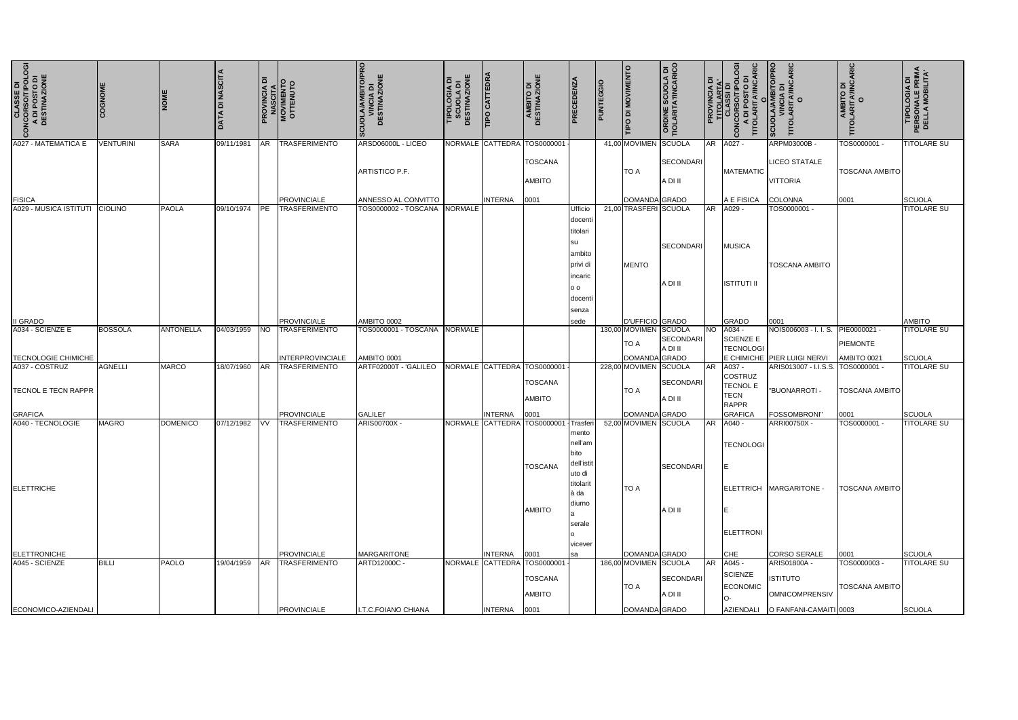| <b>CLASSE DI<br/>CONCORSO/TIPOLOGIA</b><br>A DI POSTO DI<br>DESTINAZIONE<br>$\epsilon$ | <b>EXOGNOME</b>  | <b>NOME</b>      | <b>DATA DI NASCITA</b> | ᅙ          | <b>PROVINCIA DI<br/>MASCITA<br/>MOVIMENTO</b><br>OTTENUTO | SCUOLA/AMBITO/PRO<br>VINCIA DI<br>DESTINAZIONE | <b>TIPOLOGIA DI<br/>SCUOLA DI<br/>SCUOLA DI</b><br>DESTINAZIONE | <b>TIPO CATTEDRA</b> | AMBITO DI<br>DESTINAZIONE                     | <b>PRECEDENZA</b>                                                           | PUNTEGGIO | TIPO DI MOVIMENTO      | <b>ORDINE SCUOLA DI<br/>TIOLARITA'/INCARICO</b> | : ۱۵      | <b>g</b><br><b>RIC</b><br>ARIT<br>TITO                    | <b>BITO/PRO</b><br>CARIC<br>'INCIA DI<br>RITA'/IN<br>O<br><b>SCUOLA</b><br>TITOL | O<br>TITOLARITA/INCARIC<br>AIBITO DI<br>AIBITO DI | <b>TIPOLOGIA DI<br/>PERSONALE PRIMA<br/>DELLA MOBILITA'</b> |
|----------------------------------------------------------------------------------------|------------------|------------------|------------------------|------------|-----------------------------------------------------------|------------------------------------------------|-----------------------------------------------------------------|----------------------|-----------------------------------------------|-----------------------------------------------------------------------------|-----------|------------------------|-------------------------------------------------|-----------|-----------------------------------------------------------|----------------------------------------------------------------------------------|---------------------------------------------------|-------------------------------------------------------------|
| A027 - MATEMATICA E                                                                    | <b>VENTURINI</b> | <b>SARA</b>      | 09/11/1981             | AR         | <b>TRASFERIMENTO</b>                                      | ARSD06000L - LICEO                             |                                                                 |                      | NORMALE CATTEDRA TOS0000001                   |                                                                             |           | 41,00 MOVIMEN SCUOLA   |                                                 | AR        | A027 -                                                    | ARPM03000B -                                                                     | TOS0000001 -                                      | TITOLARE SU                                                 |
|                                                                                        |                  |                  |                        |            |                                                           | ARTISTICO P.F.                                 |                                                                 |                      | <b>TOSCANA</b><br><b>AMBITO</b>               |                                                                             |           | TO A                   | SECONDARI<br>A DI II                            |           | <b>MATEMATIC</b>                                          | <b>LICEO STATALE</b><br><b>VITTORIA</b>                                          | <b>TOSCANA AMBITO</b>                             |                                                             |
| <b>FISICA</b>                                                                          |                  |                  |                        |            | <b>PROVINCIALE</b>                                        | ANNESSO AL CONVITTO                            |                                                                 | <b>INTERNA</b>       | 0001                                          |                                                                             |           | DOMANDA GRADO          |                                                 |           | A E FISICA                                                | <b>COLONNA</b>                                                                   | 0001                                              | SCUOLA                                                      |
| A029 - MUSICA ISTITUTI CIOLINO                                                         |                  | <b>PAOLA</b>     | 09/10/1974             | <b>IPE</b> | <b>TRASFERIMENTO</b>                                      | TOS0000002 - TOSCANA NORMALE                   |                                                                 |                      |                                               | <b>Ufficio</b>                                                              |           | 21,00 TRASFERI SCUOLA  |                                                 | <b>AR</b> | A029 -                                                    | TOS0000001 -                                                                     |                                                   | <b>TITOLARE SU</b>                                          |
|                                                                                        |                  |                  |                        |            |                                                           |                                                |                                                                 |                      |                                               | docent<br>titolari<br>su<br>ambito<br>privi di<br>incaric<br>0 <sub>0</sub> |           | <b>MENTO</b>           | <b>SECONDARI</b><br>A DI II                     |           | <b>MUSICA</b><br><b>ISTITUTI II</b>                       | <b>TOSCANA AMBITO</b>                                                            |                                                   |                                                             |
|                                                                                        |                  |                  |                        |            |                                                           |                                                |                                                                 |                      |                                               | docent                                                                      |           |                        |                                                 |           |                                                           |                                                                                  |                                                   |                                                             |
|                                                                                        |                  |                  |                        |            |                                                           |                                                |                                                                 |                      |                                               | senza                                                                       |           |                        |                                                 |           |                                                           |                                                                                  |                                                   |                                                             |
| <b>II GRADO</b>                                                                        |                  |                  |                        |            | <b>PROVINCIALE</b>                                        | AMBITO 0002                                    |                                                                 |                      |                                               | sede                                                                        |           | <b>D'UFFICIO GRADO</b> |                                                 |           | <b>GRADO</b>                                              | 0001                                                                             |                                                   | <b>AMBITO</b>                                               |
| A034 - SCIENZE E                                                                       | <b>BOSSOLA</b>   | <b>ANTONELLA</b> | 04/03/1959             | <b>NO</b>  | <b>TRASFERIMENTO</b>                                      | TOS0000001 - TOSCANA NORMALE                   |                                                                 |                      |                                               |                                                                             |           | 130,00 MOVIMEN SCUOLA  |                                                 |           | NO A034 -                                                 | NOIS006003 - I. I. S.                                                            | PIE0000021 -                                      | <b>TITOLARE SU</b>                                          |
|                                                                                        |                  |                  |                        |            |                                                           |                                                |                                                                 |                      |                                               |                                                                             |           | TO A                   | <b>SECONDARI</b>                                |           | <b>SCIENZE E</b>                                          |                                                                                  | <b>PIEMONTE</b>                                   |                                                             |
| <b>TECNOLOGIE CHIMICHE</b>                                                             |                  |                  |                        |            | INTERPROVINCIALE                                          | AMBITO 0001                                    |                                                                 |                      |                                               |                                                                             |           | <b>DOMANDA</b>         | A DI II<br>GRADO                                |           | <b>TECNOLOGI</b>                                          | E CHIMICHE PIER LUIGI NERVI                                                      | AMBITO 0021                                       | SCUOLA                                                      |
| A037 - COSTRUZ                                                                         | <b>AGNELLI</b>   | <b>MARCO</b>     | 18/07/1960             | AR         | <b>TRASFERIMENTO</b>                                      | ARTF02000T - 'GALILEO                          |                                                                 |                      | NORMALE CATTEDRA TOS0000001                   |                                                                             |           | 228,00 MOVIMEN SCUOLA  |                                                 | AR        | A037 -                                                    | ARIS013007 - I.I.S.S.                                                            | TOS0000001                                        | <b>TITOLARE SU</b>                                          |
| <b>ITECNOL E TECN RAPPR</b>                                                            |                  |                  |                        |            |                                                           |                                                |                                                                 |                      | <b>TOSCANA</b><br><b>AMBITO</b>               |                                                                             |           | TO A                   | <b>SECONDARI</b><br>A DI II                     |           | COSTRUZ<br><b>TECNOL E</b><br><b>TECN</b><br><b>RAPPR</b> | "BUONARROTI -                                                                    | <b>TOSCANA AMBITO</b>                             |                                                             |
| <b>GRAFICA</b>                                                                         |                  |                  |                        |            | <b>PROVINCIALE</b>                                        | <b>GALILEI</b>                                 |                                                                 | <b>INTERNA</b>       | 0001                                          |                                                                             |           | DOMANDA GRADO          |                                                 |           | <b>GRAFICA</b>                                            | <b>FOSSOMBRONI</b>                                                               | 0001                                              | SCUOLA                                                      |
| A040 - TECNOLOGIE                                                                      | <b>MAGRO</b>     | <b>DOMENICO</b>  | 07/12/1982             | <b>VV</b>  | <b>TRASFERIMENTO</b>                                      | ARIS00700X -                                   |                                                                 |                      | NORMALE CATTEDRA TOS0000001<br><b>TOSCANA</b> | Trasferi<br>mento<br>nell'am<br>bito<br>dell'istit<br>uto di<br>titolarit   |           | 52,00 MOVIMEN SCUOLA   | <b>SECONDARI</b>                                | <b>AR</b> | A040 -<br><b>TECNOLOGI</b>                                | ARRI00750X -<br>ELETTRICH MARGARITONE -                                          | TOS0000001 -                                      | <b>TITOLARE SU</b>                                          |
| <b>ELETTRICHE</b>                                                                      |                  |                  |                        |            |                                                           |                                                |                                                                 |                      | <b>AMBITO</b>                                 | à da<br>diurno<br>serale<br>vicever                                         |           | <b>TO A</b>            | A DI II                                         |           | <b>ELETTRONI</b>                                          |                                                                                  | <b>TOSCANA AMBITO</b>                             |                                                             |
| <b>ELETTRONICHE</b>                                                                    |                  |                  |                        |            | <b>PROVINCIALE</b>                                        | <b>MARGARITONE</b>                             |                                                                 | <b>INTERNA</b>       | 0001                                          | sa                                                                          |           | DOMANDA GRADO          |                                                 |           | CHE                                                       | <b>CORSO SERALE</b>                                                              | 0001                                              | SCUOLA                                                      |
| A045 - SCIENZE                                                                         | <b>BILLI</b>     | <b>PAOLO</b>     | 19/04/1959             | AR         | <b>TRASFERIMENTO</b>                                      | ARTD12000C -                                   |                                                                 |                      | NORMALE CATTEDRA TOS000000                    |                                                                             |           | 186,00 MOVIMEN SCUOLA  |                                                 | <b>AR</b> | A045 -                                                    | ARIS01800A -                                                                     | TOS0000003                                        | <b>TITOLARE SU</b>                                          |
|                                                                                        |                  |                  |                        |            |                                                           |                                                |                                                                 |                      | <b>TOSCANA</b><br>AMBITO                      |                                                                             |           | TO A                   | SECONDARI<br>A DI II                            |           | <b>SCIENZE</b><br>ECONOMIC                                | <b>ISTITUTO</b><br>OMNICOMPRENSIV                                                | <b>TOSCANA AMBITO</b>                             |                                                             |
| ECONOMICO-AZIENDALI                                                                    |                  |                  |                        |            | <b>PROVINCIALE</b>                                        | I.T.C.FOIANO CHIANA                            |                                                                 | INTERNA 0001         |                                               |                                                                             |           | DOMANDA GRADO          |                                                 |           |                                                           | AZIENDALI O FANFANI-CAMAITI 0003                                                 |                                                   | SCUOLA                                                      |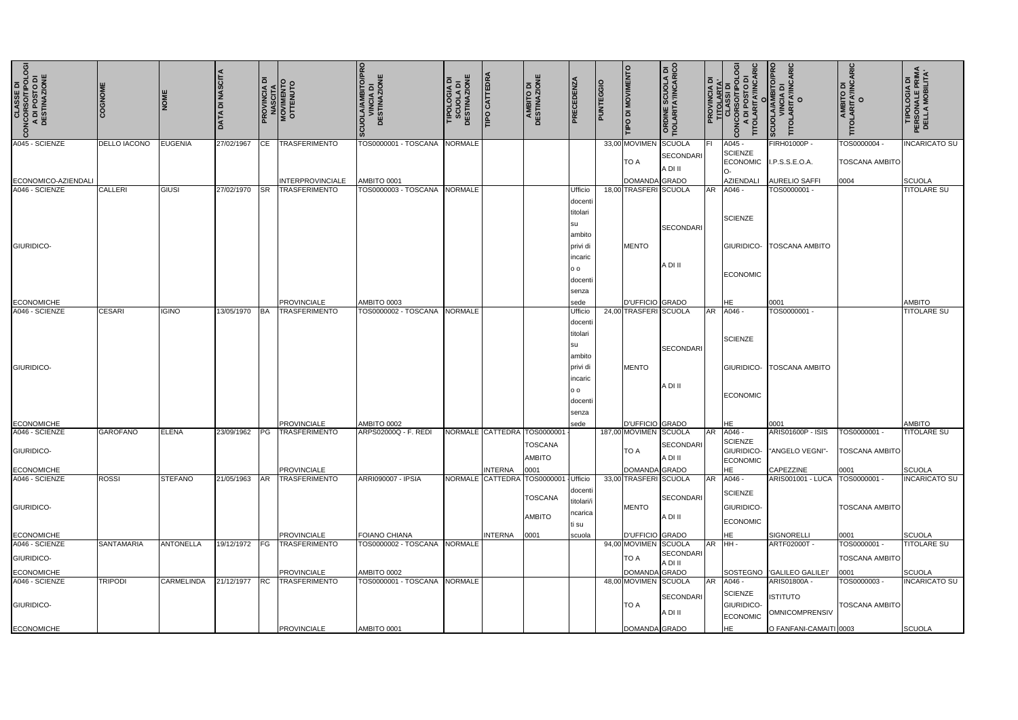| <b>CLASSE DI<br/>CONCORSO/TIPOLOGIA</b><br>A DI POSTO DI<br>DESTINAZIONE<br>$\mathbf{o}$ | COGNOMI           | <b>NOME</b>       | <b>TA DI NASCITA</b> |           | <b>PROVINCIA DI<br/>MASCITA<br/>MOVIMENTO<br/>OTTENUTO</b> | SCUOLA/AMBITO/PRO<br>VINCIA DI<br>DESTINAZIONE | <b>SCUOLA DI<br/>DESTINAZIONE</b><br>ᅙ<br>TIPOLOGIA | TIPO CATTEDRA    | AMBITO DI<br>DESTINAZIONE   | PRECEDENZA       | PUNTEGGIO | TIPO DI MOVIMENTO                        | <b>ORDINE SCUOLA DI<br/>TIOLARITA'/INCARICO</b> | ROVINCIA  | A DI POSTO DI<br>TITOLARITA'/INCARIC<br>8<br><b>OLSO4 IQ ∀</b><br>COMCORSONLO<br>COMCORSONLOI<br>COMCORSON | SCUOLA/AMBITO/PRO<br>VINCIA DI<br>TITOLARITA'/INCARIC<br>O | O<br>TITOLARITA/INCARIC<br>TITOLARITO DI | <b>TIPOLOGIA DI<br/>PERSONALE PRIMA<br/>DELLA MOBILITA'</b> |
|------------------------------------------------------------------------------------------|-------------------|-------------------|----------------------|-----------|------------------------------------------------------------|------------------------------------------------|-----------------------------------------------------|------------------|-----------------------------|------------------|-----------|------------------------------------------|-------------------------------------------------|-----------|------------------------------------------------------------------------------------------------------------|------------------------------------------------------------|------------------------------------------|-------------------------------------------------------------|
| A045 - SCIENZE                                                                           | DELLO IACONO      | <b>EUGENIA</b>    | 27/02/1967           | CE.       | <b>TRASFERIMENTO</b>                                       | TOS0000001 - TOSCANA                           | <b>NORMALE</b>                                      |                  |                             |                  |           | 33,00 MOVIMEN                            | <b>SCUOLA</b>                                   | IFL       | A045 -<br><b>SCIENZE</b>                                                                                   | FIRH01000P -                                               | TOS0000004 -                             | <b>INCARICATO SU</b>                                        |
|                                                                                          |                   |                   |                      |           |                                                            |                                                |                                                     |                  |                             |                  |           | <b>TO A</b>                              | <b>SECONDARI</b><br>A DI II                     |           | <b>ECONOMIC</b>                                                                                            | I.P.S.S.E.O.A.                                             | <b>TOSCANA AMBITO</b>                    |                                                             |
| ECONOMICO-AZIENDALI                                                                      |                   |                   |                      |           | <b>INTERPROVINCIALE</b>                                    | AMBITO 0001                                    |                                                     |                  |                             |                  |           | DOMANDA GRADO                            |                                                 |           | <b>AZIENDALI</b>                                                                                           | <b>AURELIO SAFFI</b>                                       | 0004                                     | <b>SCUOLA</b>                                               |
| A046 - SCIENZE                                                                           | <b>CALLERI</b>    | GIUSI             | 27/02/1970           |           | <b>TRASFERIMENTO</b>                                       | TOS0000003 - TOSCANA                           | <b>NORMALE</b>                                      |                  |                             | Ufficio          |           | 18,00 TRASFERI SCUOLA                    |                                                 | <b>AR</b> | A046 -                                                                                                     | TOS0000001-                                                |                                          | <b>TITOLARE SU</b>                                          |
|                                                                                          |                   |                   |                      |           |                                                            |                                                |                                                     |                  |                             | docenti          |           |                                          |                                                 |           |                                                                                                            |                                                            |                                          |                                                             |
|                                                                                          |                   |                   |                      |           |                                                            |                                                |                                                     |                  |                             | titolari         |           |                                          |                                                 |           | <b>SCIENZE</b>                                                                                             |                                                            |                                          |                                                             |
|                                                                                          |                   |                   |                      |           |                                                            |                                                |                                                     |                  |                             | su               |           |                                          | <b>SECONDARI</b>                                |           |                                                                                                            |                                                            |                                          |                                                             |
|                                                                                          |                   |                   |                      |           |                                                            |                                                |                                                     |                  |                             | ambito           |           |                                          |                                                 |           |                                                                                                            |                                                            |                                          |                                                             |
| <b>GIURIDICO-</b>                                                                        |                   |                   |                      |           |                                                            |                                                |                                                     |                  |                             | privi di         |           | <b>MENTO</b>                             |                                                 |           | GIURIDICO-                                                                                                 | <b>TOSCANA AMBITO</b>                                      |                                          |                                                             |
|                                                                                          |                   |                   |                      |           |                                                            |                                                |                                                     |                  |                             | incaric          |           |                                          | A DI II                                         |           |                                                                                                            |                                                            |                                          |                                                             |
|                                                                                          |                   |                   |                      |           |                                                            |                                                |                                                     |                  |                             | 0 <sub>0</sub>   |           |                                          |                                                 |           | <b>ECONOMIC</b>                                                                                            |                                                            |                                          |                                                             |
|                                                                                          |                   |                   |                      |           |                                                            |                                                |                                                     |                  |                             | docenti          |           |                                          |                                                 |           |                                                                                                            |                                                            |                                          |                                                             |
|                                                                                          |                   |                   |                      |           |                                                            |                                                |                                                     |                  |                             | senza            |           |                                          |                                                 |           |                                                                                                            |                                                            |                                          |                                                             |
| <b>ECONOMICHE</b><br>A046 - SCIENZE                                                      | <b>CESARI</b>     | <b>IGINO</b>      | 13/05/1970           |           | <b>PROVINCIALE</b><br><b>TRASFERIMENTO</b>                 | AMBITO 0003<br>TOS0000002 - TOSCANA            | <b>NORMALE</b>                                      |                  |                             | sede<br>Ufficio  |           | D'UFFICIO GRADO<br>24,00 TRASFERI SCUOLA |                                                 | AR        | HE<br>A046                                                                                                 | 0001<br>TOS0000001 -                                       |                                          | AMBITO<br><b>TITOLARE SU</b>                                |
|                                                                                          |                   |                   |                      | <b>BA</b> |                                                            |                                                |                                                     |                  |                             |                  |           |                                          |                                                 |           |                                                                                                            |                                                            |                                          |                                                             |
|                                                                                          |                   |                   |                      |           |                                                            |                                                |                                                     |                  |                             | docent           |           |                                          |                                                 |           |                                                                                                            |                                                            |                                          |                                                             |
|                                                                                          |                   |                   |                      |           |                                                            |                                                |                                                     |                  |                             | titolari         |           |                                          |                                                 |           | <b>SCIENZE</b>                                                                                             |                                                            |                                          |                                                             |
|                                                                                          |                   |                   |                      |           |                                                            |                                                |                                                     |                  |                             | su<br>ambito     |           |                                          | <b>SECONDARI</b>                                |           |                                                                                                            |                                                            |                                          |                                                             |
| <b>GIURIDICO-</b>                                                                        |                   |                   |                      |           |                                                            |                                                |                                                     |                  |                             | privi di         |           | <b>MENTO</b>                             |                                                 |           | GIURIDICO-                                                                                                 | <b>TOSCANA AMBITO</b>                                      |                                          |                                                             |
|                                                                                          |                   |                   |                      |           |                                                            |                                                |                                                     |                  |                             | incaric          |           |                                          |                                                 |           |                                                                                                            |                                                            |                                          |                                                             |
|                                                                                          |                   |                   |                      |           |                                                            |                                                |                                                     |                  |                             | 0 <sub>0</sub>   |           |                                          | A DI II                                         |           |                                                                                                            |                                                            |                                          |                                                             |
|                                                                                          |                   |                   |                      |           |                                                            |                                                |                                                     |                  |                             |                  |           |                                          |                                                 |           | <b>ECONOMIC</b>                                                                                            |                                                            |                                          |                                                             |
|                                                                                          |                   |                   |                      |           |                                                            |                                                |                                                     |                  |                             | docenti<br>senza |           |                                          |                                                 |           |                                                                                                            |                                                            |                                          |                                                             |
| <b>ECONOMICHE</b>                                                                        |                   |                   |                      |           | <b>PROVINCIALE</b>                                         | AMBITO 0002                                    |                                                     |                  |                             | sede             |           | D'UFFICIO GRADO                          |                                                 |           | HE                                                                                                         | 0001                                                       |                                          | <b>AMBITO</b>                                               |
| A046 - SCIENZE                                                                           | <b>GAROFANO</b>   | <b>ELENA</b>      | 23/09/1962           | PG.       | <b>TRASFERIMENTO</b>                                       | ARPS02000Q - F. REDI                           |                                                     |                  | NORMALE CATTEDRA TOS0000001 |                  |           | 187,00 MOVIMEN SCUOLA                    |                                                 | <b>AR</b> | A046                                                                                                       | ARIS01600P - ISIS                                          | TOS0000001                               | <b>TITOLARE SU</b>                                          |
|                                                                                          |                   |                   |                      |           |                                                            |                                                |                                                     |                  | <b>TOSCANA</b>              |                  |           |                                          | SECONDARI                                       |           | SCIENZE                                                                                                    |                                                            |                                          |                                                             |
| GIURIDICO-                                                                               |                   |                   |                      |           |                                                            |                                                |                                                     |                  | <b>AMBITO</b>               |                  |           | <b>TO A</b>                              | A DI II                                         |           | GIURIDICO-                                                                                                 | "ANGELO VEGNI"-                                            | <b>TOSCANA AMBITO</b>                    |                                                             |
| <b>ECONOMICHE</b>                                                                        |                   |                   |                      |           | <b>PROVINCIALE</b>                                         |                                                |                                                     | <b>INTERNA</b>   |                             |                  |           |                                          |                                                 |           | <b>ECONOMIC</b><br>HE                                                                                      | CAPEZZINE                                                  |                                          | SCUOLA                                                      |
| A046 - SCIENZE                                                                           | <b>ROSSI</b>      | <b>STEFANO</b>    | 21/05/1963           | <b>AR</b> | <b>TRASFERIMENTO</b>                                       | <b>ARRI090007 - IPSIA</b>                      |                                                     | NORMALE CATTEDRA | 0001<br>4 TOS0000001        | <b>Ufficio</b>   |           | DOMANDA GRADO<br>33,00 TRASFERI SCUOLA   |                                                 | <b>AR</b> | A046 -                                                                                                     | <b>ARIS001001 - LUCA</b>                                   | 0001<br>TOS0000001 -                     | <b>INCARICATO SU</b>                                        |
|                                                                                          |                   |                   |                      |           |                                                            |                                                |                                                     |                  |                             | docenti          |           |                                          |                                                 |           |                                                                                                            |                                                            |                                          |                                                             |
|                                                                                          |                   |                   |                      |           |                                                            |                                                |                                                     |                  | <b>TOSCANA</b>              | titolari/i       |           |                                          | <b>SECONDARI</b>                                |           | <b>SCIENZE</b>                                                                                             |                                                            |                                          |                                                             |
| GIURIDICO-                                                                               |                   |                   |                      |           |                                                            |                                                |                                                     |                  |                             | ncarica          |           | <b>MENTO</b>                             |                                                 |           | GIURIDICO-                                                                                                 |                                                            | <b>TOSCANA AMBITO</b>                    |                                                             |
|                                                                                          |                   |                   |                      |           |                                                            |                                                |                                                     |                  | <b>AMBITO</b>               | ti su            |           |                                          | A DI II                                         |           | <b>ECONOMIC</b>                                                                                            |                                                            |                                          |                                                             |
| ECONOMICHE                                                                               |                   |                   |                      |           | <b>PROVINCIALE</b>                                         | <b>FOIANO CHIANA</b>                           |                                                     | <b>INTERNA</b>   | 0001                        | scuola           |           | D'UFFICIO GRADO                          |                                                 |           | <b>HE</b>                                                                                                  | SIGNORELLI                                                 | 0001                                     | SCUOLA                                                      |
| A046 - SCIENZE                                                                           | <b>SANTAMARIA</b> | <b>ANTONELLA</b>  | 19/12/1972           | IFG.      | <b>TRASFERIMENTO</b>                                       | TOS0000002 - TOSCANA NORMALE                   |                                                     |                  |                             |                  |           | 94,00 MOVIMEN SCUOLA                     |                                                 | <b>AR</b> | $HH -$                                                                                                     | ARTF02000T -                                               | TOS0000001 -                             | <b>TITOLARE SU</b>                                          |
| GIURIDICO-                                                                               |                   |                   |                      |           |                                                            |                                                |                                                     |                  |                             |                  |           | <b>TO A</b>                              | SECONDARI                                       |           |                                                                                                            |                                                            | <b>TOSCANA AMBITO</b>                    |                                                             |
|                                                                                          |                   |                   |                      |           |                                                            |                                                |                                                     |                  |                             |                  |           |                                          | A DI II                                         |           |                                                                                                            |                                                            |                                          |                                                             |
| <b>ECONOMICHE</b><br>A046 - SCIENZE                                                      | <b>TRIPODI</b>    | <b>CARMELINDA</b> | 21/12/1977           | IRC.      | <b>PROVINCIALE</b><br><b>TRASFERIMENTO</b>                 | AMBITO 0002<br>TOS0000001 - TOSCANA            | <b>NORMALE</b>                                      |                  |                             |                  |           | DOMANDA GRADO<br>48,00 MOVIMEN SCUOLA    |                                                 | <b>AR</b> | A046 -                                                                                                     | SOSTEGNO   'GALILEO GALILEI'<br>ARIS01800A -               | 0001<br>TOS0000003                       | SCUOLA<br><b>INCARICATO SU</b>                              |
|                                                                                          |                   |                   |                      |           |                                                            |                                                |                                                     |                  |                             |                  |           |                                          |                                                 |           | <b>SCIENZE</b>                                                                                             |                                                            |                                          |                                                             |
| <b>GIURIDICO-</b>                                                                        |                   |                   |                      |           |                                                            |                                                |                                                     |                  |                             |                  |           | <b>TO A</b>                              | <b>SECONDARI</b>                                |           | GIURIDICO-                                                                                                 | <b>ISTITUTO</b>                                            | <b>TOSCANA AMBITO</b>                    |                                                             |
|                                                                                          |                   |                   |                      |           |                                                            |                                                |                                                     |                  |                             |                  |           |                                          | A DI II                                         |           | <b>ECONOMIC</b>                                                                                            | <b>OMNICOMPRENSIV</b>                                      |                                          |                                                             |
| ECONOMICHE                                                                               |                   |                   |                      |           | <b>PROVINCIALE</b>                                         | AMBITO 0001                                    |                                                     |                  |                             |                  |           | DOMANDA GRADO                            |                                                 |           | HE.                                                                                                        | O FANFANI-CAMAITI 0003                                     |                                          | SCUOLA                                                      |
|                                                                                          |                   |                   |                      |           |                                                            |                                                |                                                     |                  |                             |                  |           |                                          |                                                 |           |                                                                                                            |                                                            |                                          |                                                             |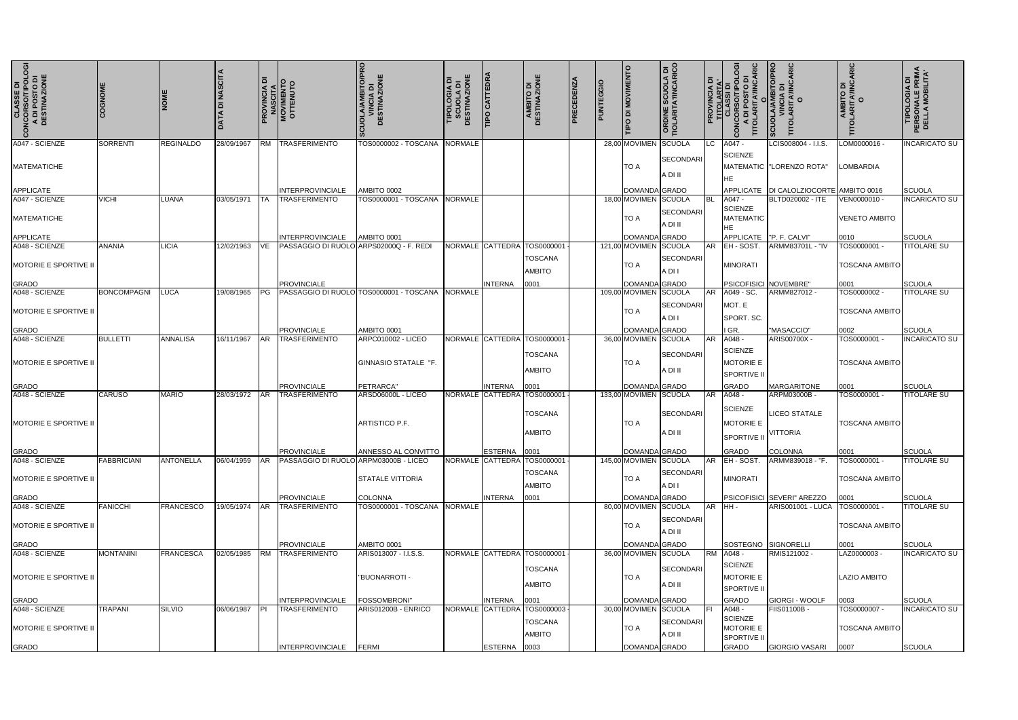| <b>CLASSE DI<br/>CONCORSO/TIPOLOGI<br/>A DI POSTO DI<br/>DESTINAZIONE</b> | COGNOM             | <b>NOM</b>       | <b>DI NASCITA</b><br>DATA | ᅙ          | <b>PROVINCIA DI<br/>NASCITA<br/>MOVIMENTO<br/>OTTENUTO</b> | <b>TO/PRO</b><br><b>;UOLA/AMBITO/PP<br/>VINCIA DI<br/>DESTINAZIONE</b> | <b>SCUOLA DI<br/>DESTINAZIONE</b><br><b>TIPOLOGIA DI<br/>SCUOLA DI</b> | <b>TIPO CATTEDRA</b> | ш<br>AMBITO DI<br>DESTINAZIONE                | PRECEDENZA | <b>PUNTEGGIO</b> | <b>DI MOVIMENTO</b><br>$\circ$  | <b>ORDINE SCUOLA DI<br/>TIOLARITA'/INCARICO</b> | ᅙ<br><b>PROVINCIA</b> | TITOLARTA'<br>CONCORSOTIPOLO<br>CONCORSOTIPOLO<br>A DI POSTO DI<br>TITOLARITA'/INCAF | O<br><b>AMBITO/F</b><br>CIA DI<br>$\overline{d}$<br>cuo | AMBITO DI<br>)LARITA′/INCARIC<br>O<br>TITO | <b>TIPOLOGIA DI<br/>PERSONALE PRIMA<br/>DELLA MOBILITA'</b> |
|---------------------------------------------------------------------------|--------------------|------------------|---------------------------|------------|------------------------------------------------------------|------------------------------------------------------------------------|------------------------------------------------------------------------|----------------------|-----------------------------------------------|------------|------------------|---------------------------------|-------------------------------------------------|-----------------------|--------------------------------------------------------------------------------------|---------------------------------------------------------|--------------------------------------------|-------------------------------------------------------------|
| A047 - SCIENZE                                                            | <b>SORRENTI</b>    | <b>REGINALDO</b> | 28/09/1967                |            | RM TRASFERIMENTO                                           | TOS0000002 - TOSCANA                                                   | <b>NORMALE</b>                                                         |                      |                                               |            |                  | 28,00 MOVIMEN                   | SCUOLA                                          | LC.                   | A047 -<br><b>SCIENZE</b>                                                             | LCIS008004 - I.I.S.                                     | - OM0000016.                               | <b>INCARICATO SU</b>                                        |
| <b>MATEMATICHE</b>                                                        |                    |                  |                           |            |                                                            |                                                                        |                                                                        |                      |                                               |            |                  | TO A                            | <b>SECONDARI</b><br>A DI II                     |                       | <b>HE</b>                                                                            | MATEMATIC   "LORENZO ROTA"                              | <b>LOMBARDIA</b>                           |                                                             |
| <b>APPLICATE</b>                                                          |                    |                  |                           |            | <b>INTERPROVINCIALE</b>                                    | AMBITO 0002                                                            |                                                                        |                      |                                               |            |                  | <b>DOMANDA</b> GRADO            |                                                 |                       |                                                                                      | APPLICATE   DI CALOLZIOCORTE AMBITO 0016                |                                            | SCUOLA                                                      |
| A047 - SCIENZE                                                            | <b>VICHI</b>       | LUANA            | 03/05/1971                | <b>ITA</b> | <b>TRASFERIMENTO</b>                                       | TOS0000001 - TOSCANA NORMALE                                           |                                                                        |                      |                                               |            |                  | 18,00 MOVIMEN SCUOLA            |                                                 | <b>BL</b>             | A047 -<br><b>SCIENZE</b>                                                             | BLTD020002 - ITE                                        | VEN0000010 -                               | <b>INCARICATO SU</b>                                        |
| <b>MATEMATICHE</b>                                                        |                    |                  |                           |            |                                                            |                                                                        |                                                                        |                      |                                               |            |                  | TO A                            | SECONDARI<br>A DI II                            |                       | <b>MATEMATIC</b><br>HE                                                               |                                                         | <b>VENETO AMBITO</b>                       |                                                             |
| <b>APPLICATE</b>                                                          |                    |                  |                           |            | <b>INTERPROVINCIALE</b>                                    | AMBITO 0001                                                            |                                                                        |                      |                                               |            |                  | DOMANDA GRADO                   |                                                 |                       |                                                                                      | APPLICATE   "P. F. CALVI"                               | 0010                                       | SCUOLA                                                      |
| A048 - SCIENZE<br><b>MOTORIE E SPORTIVE II</b>                            | ANANIA             | <b>LICIA</b>     | 12/02/1963                | VE         | PASSAGGIO DI RUOLO ARPS02000Q - F. REDI                    |                                                                        |                                                                        | NORMALE CATTEDRA     | TOS0000001<br><b>TOSCANA</b>                  |            |                  | 121.00 MOVIMEN<br>TO A          | SCUOLA<br>SECONDARI                             |                       | AR EH-SOST.<br><b>MINORATI</b>                                                       | ARMM83701L - "IV                                        | FOS0000001 -<br><b>TOSCANA AMBITO</b>      | <b>TITOLARE SU</b>                                          |
|                                                                           |                    |                  |                           |            | <b>PROVINCIALE</b>                                         |                                                                        |                                                                        | <b>INTERNA</b>       | AMBITO                                        |            |                  |                                 | A DI I                                          |                       |                                                                                      |                                                         |                                            |                                                             |
| <b>GRADO</b><br>A048 - SCIENZE                                            | <b>BONCOMPAGNI</b> | <b>LUCA</b>      | 19/08/1965                | <b>IPG</b> |                                                            | PASSAGGIO DI RUOLO TOS0000001 - TOSCANA                                | <b>NORMALE</b>                                                         |                      | 0001                                          |            |                  | DOMANDA GRADO<br>109,00 MOVIMEN | SCUOLA                                          |                       |                                                                                      | PSICOFISICI NOVEMBRE"<br>ARMM827012 -                   | 0001<br>TOS0000002 -                       | SCUOLA<br><b>TITOLARE SU</b>                                |
| MOTORIE E SPORTIVE II                                                     |                    |                  |                           |            |                                                            |                                                                        |                                                                        |                      |                                               |            |                  | TO A                            | SECONDARI<br>A DI I                             |                       | MOT. E<br>SPORT. SC.                                                                 |                                                         | TOSCANA AMBITO                             |                                                             |
| <b>GRADO</b>                                                              |                    |                  |                           |            | <b>PROVINCIALE</b>                                         | AMBITO 0001                                                            |                                                                        |                      |                                               |            |                  | <b>DOMANDA</b> GRADO            |                                                 |                       | I GR.                                                                                | "MASACCIO"                                              | 0002                                       | SCUOLA                                                      |
| A048 - SCIENZE                                                            | <b>BULLETTI</b>    | <b>ANNALISA</b>  | 16/11/1967                | <b>AR</b>  | <b>TRASFERIMENTO</b>                                       | <b>ARPC010002 - LICEO</b>                                              |                                                                        | NORMALE CATTEDRA     | TOS0000001                                    |            |                  | 36,00 MOVIMEN                   | SCUOLA                                          | AR.                   | A048 -                                                                               | ARIS00700X -                                            | TOS0000001 -                               | <b>INCARICATO SU</b>                                        |
| MOTORIE E SPORTIVE II                                                     |                    |                  |                           |            |                                                            | GINNASIO STATALE "F.                                                   |                                                                        |                      | <b>TOSCANA</b><br>AMBITO                      |            |                  | TO A                            | <b>SECONDARI</b><br>A DI II                     |                       | <b>SCIENZE</b><br><b>MOTORIE E</b><br><b>SPORTIVE II</b>                             |                                                         | TOSCANA AMBITO                             |                                                             |
| <b>GRADO</b>                                                              |                    |                  |                           |            | <b>PROVINCIALE</b>                                         | PETRARCA"                                                              |                                                                        | <b>INTERNA</b>       | 0001                                          |            |                  | <b>DOMANDA</b> GRADO            |                                                 |                       | <b>GRADO</b>                                                                         | <b>MARGARITONE</b>                                      | 0001                                       | SCUOLA                                                      |
| A048 - SCIENZE                                                            | CARUSO             | <b>MARIO</b>     | 28/03/1972 AR             |            | <b>TRASFERIMENTO</b>                                       | ARSD06000L - LICEO                                                     |                                                                        | NORMALE CATTEDRA     | TOS0000001                                    |            |                  | 133,00 MOVIMEN SCUOLA           |                                                 | AR                    | A048 -                                                                               | ARPM03000B-                                             | TOS0000001                                 | <b>TITOLARE SU</b>                                          |
| <b>MOTORIE E SPORTIVE II</b>                                              |                    |                  |                           |            |                                                            | ARTISTICO P.F.                                                         |                                                                        |                      | <b>TOSCANA</b><br>AMBITO                      |            |                  | TO A                            | <b>SECONDARI</b><br>A DI II                     |                       | <b>SCIENZE</b><br><b>MOTORIE E</b><br>SPORTIVE II VITTORIA                           | <b>LICEO STATALE</b>                                    | TOSCANA AMBITO                             |                                                             |
| <b>GRADO</b>                                                              |                    |                  |                           |            | <b>PROVINCIALE</b>                                         | ANNESSO AL CONVITTO                                                    |                                                                        | ESTERNA              | 0001                                          |            |                  | DOMANDA GRADO                   |                                                 |                       | GRADO                                                                                | <b>COLONNA</b>                                          | 0001                                       | SCUOLA                                                      |
| A048 - SCIENZE                                                            | <b>FABBRICIANI</b> | <b>ANTONELLA</b> | 06/04/1959                | <b>AR</b>  | PASSAGGIO DI RUOLO ARPM03000B - LICEO                      |                                                                        |                                                                        |                      | NORMALE CATTEDRA TOS0000001                   |            |                  | 145,00 MOVIMEN SCUOLA           |                                                 |                       | AR EH-SOST.                                                                          | ARMM839018 - "F.                                        | TOS0000001 -                               | <b>TITOLARE SU</b>                                          |
| <b>MOTORIE E SPORTIVE II</b>                                              |                    |                  |                           |            |                                                            | <b>STATALE VITTORIA</b>                                                |                                                                        |                      | <b>TOSCANA</b><br><b>AMBITO</b>               |            |                  | TO A                            | <b>SECONDARI</b><br>A DI I                      |                       | <b>MINORATI</b>                                                                      |                                                         | <b>TOSCANA AMBITO</b>                      |                                                             |
| <b>GRADO</b>                                                              |                    |                  |                           | <b>AR</b>  | <b>PROVINCIALE</b>                                         | COLONNA<br>TOS0000001 - TOSCANA NORMALE                                |                                                                        | <b>INTERNA</b>       | 0001                                          |            |                  | DOMANDA GRADO                   |                                                 |                       |                                                                                      | PSICOFISICI SEVERI" AREZZO                              | 0001                                       | SCUOLA                                                      |
| A048 - SCIENZE<br>MOTORIE E SPORTIVE II                                   | <b>FANICCHI</b>    | <b>FRANCESCO</b> | 19/05/1974                |            | <b>TRASFERIMENTO</b>                                       |                                                                        |                                                                        |                      |                                               |            |                  | 80,00 MOVIMEN SCUOLA<br>TO A    | SECONDARI<br>A DI II                            | AR HH-                |                                                                                      | ARIS001001 - LUCA                                       | TOS0000001 -<br><b>TOSCANA AMBITO</b>      | <b>TITOLARE SU</b>                                          |
| <b>GRADO</b>                                                              |                    |                  |                           |            | <b>PROVINCIALE</b>                                         | AMBITO 0001                                                            |                                                                        |                      |                                               |            |                  | <b>DOMANDA</b> GRADO            |                                                 |                       |                                                                                      | SOSTEGNO SIGNORELLI                                     | 0001                                       | SCUOLA                                                      |
| A048 - SCIENZE                                                            | <b>MONTANINI</b>   | <b>FRANCESCA</b> | 02/05/1985                | <b>RM</b>  | <b>TRASFERIMENTO</b>                                       | ARIS013007 - I.I.S.S.                                                  |                                                                        |                      | NORMALE CATTEDRA TOS0000001                   |            |                  | 36,00 MOVIMEN SCUOLA            |                                                 |                       | RM A048 -                                                                            | RMIS121002 -                                            | LAZ0000003-                                | <b>INCARICATO SU</b>                                        |
| <b>MOTORIE E SPORTIVE II</b>                                              |                    |                  |                           |            |                                                            | "BUONARROTI-                                                           |                                                                        |                      | TOSCANA<br>AMBITO                             |            |                  | TO A                            | <b>SECONDARI</b><br>A DI II                     |                       | <b>SCIENZE</b><br><b>MOTORIE E</b><br><b>SPORTIVE II</b>                             |                                                         | <b>LAZIO AMBITO</b>                        |                                                             |
| <b>GRADO</b>                                                              |                    |                  |                           |            | INTERPROVINCIALE                                           | <b>FOSSOMBRONI"</b>                                                    |                                                                        | <b>INTERNA</b>       | 0001                                          |            |                  | DOMANDA GRADO                   |                                                 |                       | <b>GRADO</b>                                                                         | GIORGI - WOOLF                                          | 0003                                       | SCUOLA                                                      |
| A048 - SCIENZE<br><b>MOTORIE E SPORTIVE II</b>                            | TRAPANI            | SILVIO           | 06/06/1987                | IPL        | <b>ITRASFERIMENTO</b>                                      | ARIS01200B - ENRICO                                                    |                                                                        |                      | NORMALE CATTEDRA TOS0000003<br><b>TOSCANA</b> |            |                  | 30,00 MOVIMEN SCUOLA<br>TO A    | <b>SECONDARI</b>                                | IEL.                  | A048 -<br><b>SCIENZE</b><br>MOTORIE E                                                | <b>FIIS01100B-</b>                                      | TOS0000007 -<br>TOSCANA AMBITO             | <b>INCARICATO SU</b>                                        |
| <b>GRADO</b>                                                              |                    |                  |                           |            | INTERPROVINCIALE FERMI                                     |                                                                        |                                                                        | <b>ESTERNA</b>       | AMBITO<br>0003                                |            |                  | DOMANDA GRADO                   | A DI II                                         |                       | SPORTIVE II<br><b>GRADO</b>                                                          | <b>GIORGIO VASARI</b>                                   | 0007                                       | SCUOLA                                                      |
|                                                                           |                    |                  |                           |            |                                                            |                                                                        |                                                                        |                      |                                               |            |                  |                                 |                                                 |                       |                                                                                      |                                                         |                                            |                                                             |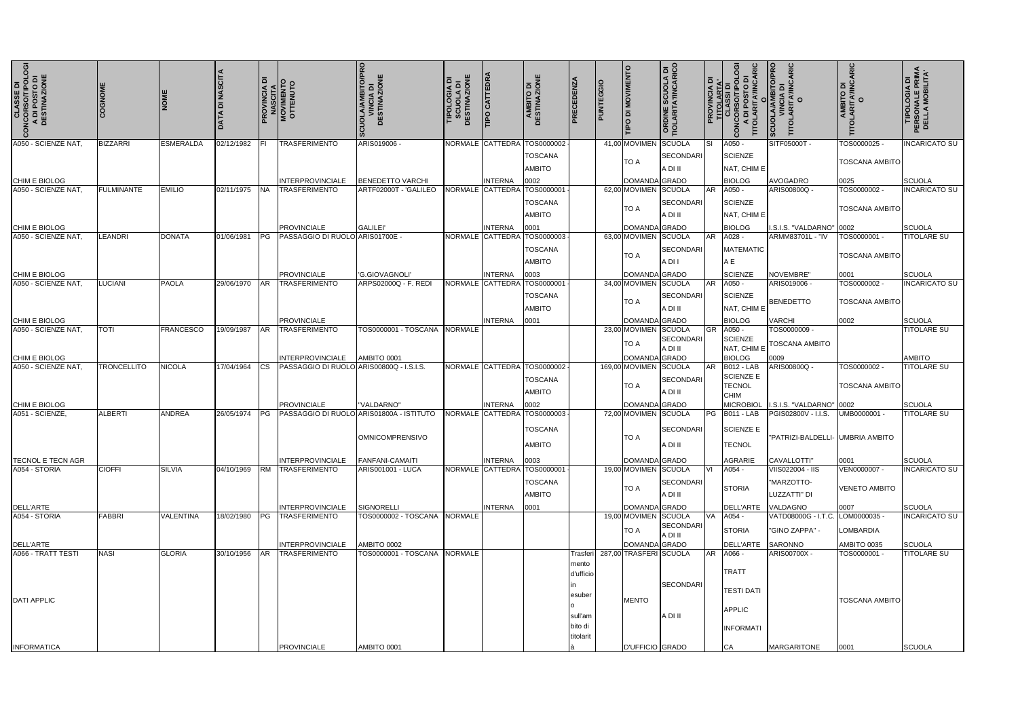| <b>CLASSE DI<br/>CONCORSO/TIPOLOGIA</b><br>A DI POSTO DI<br>DESTINAZIONE | <b>COGNOM</b>      |                  | <b>DATA DI NASCITA</b> | ᅙ          | <b>PROVINCIA DI<br/>MASCITA<br/>MOVIMENTO</b><br>OTTENUTO | SCUOLA/AMBITO/PRO<br>VINCIA DI<br>DESTINAZIONE | <b>DESTINAZIONE</b><br>TIPOLOGIA DI | <b>TIPO CATTEDRA</b>        | Ш<br>AMBITO DI<br>PESTINAZIONE<br>$\overline{\mathbf{a}}$ | PRECEDENZA                                                     | <b>PUNTEGGIO</b> | <b>DI MOVIMENTO</b><br>$\overline{a}$  | <b>ORDINE SCUOLA DI<br/>TIOLARITA'/INCARICO</b> | $\overline{\mathbf{a}}$<br>PROVINCIA | <b>CONCORSO/TIPOLO</b><br>A DI POSTO DI<br>TITOLARITA/INCAI            | O<br>A/AMBITO/F<br>/INCIA DI<br>\RITA'/INCA<br>$\vec{0}$<br>scuo | AMBITO DI<br>)LARITA′/INCARIC<br>O<br>TITO | <b>TIPOLOGIA DI<br/>PERSONALE PRIMA<br/>DELLA MOBILITA'</b> |
|--------------------------------------------------------------------------|--------------------|------------------|------------------------|------------|-----------------------------------------------------------|------------------------------------------------|-------------------------------------|-----------------------------|-----------------------------------------------------------|----------------------------------------------------------------|------------------|----------------------------------------|-------------------------------------------------|--------------------------------------|------------------------------------------------------------------------|------------------------------------------------------------------|--------------------------------------------|-------------------------------------------------------------|
| A050 - SCIENZE NAT,                                                      | <b>BIZZARRI</b>    | <b>ESMERALDA</b> | 02/12/1982             | IFI.       | <b>TRASFERIMENTO</b>                                      | ARIS019006                                     |                                     |                             | NORMALE CATTEDRA TOS0000002<br>TOSCANA                    |                                                                |                  | 41,00 MOVIMEN                          | SCUOLA<br>SECONDARI                             | Isı                                  | A050 -<br><b>SCIENZE</b>                                               | SITF05000T -                                                     | FOS0000025 -<br><b>TOSCANA AMBITO</b>      | <b>INCARICATO SU</b>                                        |
|                                                                          |                    |                  |                        |            |                                                           |                                                |                                     |                             | <b>AMBITO</b>                                             |                                                                |                  | TO A                                   | A DI II                                         |                                      | NAT, CHIM E                                                            |                                                                  |                                            |                                                             |
| CHIM E BIOLOG                                                            |                    |                  |                        |            | INTERPROVINCIALE                                          | <b>BENEDETTO VARCHI</b>                        |                                     | <b>INTERNA</b>              | 0002                                                      |                                                                |                  | DOMANDA GRADO                          |                                                 |                                      | <b>BIOLOG</b>                                                          | <b>AVOGADRO</b>                                                  | 0025                                       | SCUOLA                                                      |
| A050 - SCIENZE NAT.                                                      | <b>FULMINANTE</b>  | <b>EMILIO</b>    | 02/11/1975             | <b>INA</b> | <b>TRASFERIMENTO</b>                                      | ARTF02000T - 'GALILEO                          |                                     | NORMALE CATTEDRA TOS0000001 | <b>TOSCANA</b><br><b>AMBITO</b>                           |                                                                |                  | 62,00 MOVIMEN SCUOLA<br><b>TO A</b>    | SECONDARI<br>A DI II                            | <b>AR</b>                            | A050 -<br><b>SCIENZE</b><br>NAT, CHIM E                                | ARIS00800Q -                                                     | TOS0000002 -<br>TOSCANA AMBITO             | <b>INCARICATO SU</b>                                        |
| <b>CHIM E BIOLOG</b>                                                     |                    |                  |                        |            | <b>PROVINCIALE</b>                                        | <b>GALILEI</b>                                 |                                     | INTERNA                     | 0001                                                      |                                                                |                  | DOMANDA GRADO                          |                                                 |                                      | <b>BIOLOG</b>                                                          | I.S.I.S. "VALDARNO"                                              | 0002                                       | SCUOLA                                                      |
| A050 - SCIENZE NAT,                                                      | <b>LEANDRI</b>     | <b>DONATA</b>    | 01/06/1981             | <b>IPG</b> | PASSAGGIO DI RUOLO                                        | ARIS01700E -                                   |                                     | NORMALE CATTEDRA            | TOS0000003<br><b>TOSCANA</b><br><b>AMBITO</b>             |                                                                |                  | 63,00 MOVIMEN<br><b>TO A</b>           | SCUOLA<br><b>SECONDARI</b><br>A DI I            | <b>AR</b>                            | A028 -<br><b>MATEMATIC</b><br>ΑE                                       | ARMM83701L - "IV                                                 | TOS0000001 -<br><b>TOSCANA AMBITO</b>      | <b>TITOLARE SU</b>                                          |
| <b>CHIM E BIOLOG</b>                                                     |                    |                  |                        |            | <b>PROVINCIALE</b>                                        | <b>G.GIOVAGNOLI</b>                            |                                     | INTERNA                     | 0003                                                      |                                                                |                  | DOMANDA GRADO                          |                                                 |                                      | <b>SCIENZE</b>                                                         | NOVEMBRE"                                                        | 0001                                       | SCUOLA                                                      |
| A050 - SCIENZE NAT,                                                      | LUCIANI            | <b>PAOLA</b>     | 29/06/1970             | <b>AR</b>  | <b>TRASFERIMENTO</b>                                      | ARPS02000Q - F. REDI                           |                                     | NORMALE CATTEDRA TOS0000001 | <b>TOSCANA</b><br><b>AMBITO</b>                           |                                                                |                  | 34,00 MOVIMEN SCUOLA<br>TO A           | <b>SECONDARI</b><br>A DI II                     | <b>AR</b>                            | A050 -<br><b>SCIENZE</b><br>NAT, CHIM E                                | ARIS019006 -<br><b>BENEDETTO</b>                                 | TOS0000002-<br><b>TOSCANA AMBITO</b>       | <b>INCARICATO SU</b>                                        |
| CHIM E BIOLOG                                                            |                    |                  |                        |            | <b>PROVINCIALE</b>                                        |                                                |                                     | <b>INTERNA</b>              | 0001                                                      |                                                                |                  | DOMANDA GRADO                          |                                                 |                                      | <b>BIOLOG</b>                                                          | <b>VARCHI</b>                                                    | 0002                                       | SCUOLA                                                      |
| A050 - SCIENZE NAT,                                                      | <b>TOTI</b>        | <b>FRANCESCO</b> | 19/09/1987             | <b>AR</b>  | <b>TRASFERIMENTO</b>                                      | TOS0000001 - TOSCANA NORMALE                   |                                     |                             |                                                           |                                                                |                  | 23,00 MOVIMEN<br><b>TO A</b>           | SCUOLA<br><b>SECONDARI</b><br>A DI II           | IGR.                                 | A050 -<br><b>SCIENZE</b><br>NAT, CHIM E                                | TOS0000009 -<br><b>TOSCANA AMBITO</b>                            |                                            | <b>TITOLARE SU</b>                                          |
| CHIM E BIOLOG                                                            |                    |                  |                        |            | <b>INTERPROVINCIALE</b>                                   | AMBITO 0001                                    |                                     |                             |                                                           |                                                                |                  | DOMAND                                 | GRADO                                           |                                      | <b>BIOLOG</b>                                                          | 0009                                                             |                                            | <b>AMBITO</b>                                               |
| A050 - SCIENZE NAT                                                       | <b>TRONCELLITO</b> | <b>NICOLA</b>    | 17/04/1964             | ICS        | PASSAGGIO DI RUOLO                                        | ARIS00800Q - I.S.I.S.                          |                                     |                             | NORMALE CATTEDRA TOS0000002                               |                                                                |                  | 169,00 MOVIMEN                         | SCUOLA                                          | <b>AR</b>                            | <b>B012 - LAB</b>                                                      | ARIS00800Q -                                                     | TOS0000002                                 | <b>TITOLARE SU</b>                                          |
|                                                                          |                    |                  |                        |            |                                                           |                                                |                                     |                             | <b>TOSCANA</b><br><b>AMBITO</b>                           |                                                                |                  | <b>TO A</b>                            | <b>SECONDARI</b><br>A DI II                     |                                      | <b>SCIENZE E</b><br><b>TECNOL</b><br><b>CHIM</b>                       |                                                                  | TOSCANA AMBITO                             |                                                             |
| CHIM E BIOLOG                                                            |                    |                  |                        |            | <b>PROVINCIALE</b>                                        | "VALDARNO"                                     |                                     | <b>INTERNA</b>              | 0002                                                      |                                                                |                  | <b>DOMANDA</b> GRADO                   |                                                 |                                      | <b>MICROBIOL</b>                                                       | I.S.I.S. "VALDARNO"                                              | 0002                                       | SCUOLA                                                      |
| A051 - SCIENZE,                                                          | <b>ALBERTI</b>     | ANDREA           | 26/05/1974             | <b>IPG</b> | PASSAGGIO DI RUOLO                                        | ARIS01800A - ISTITUTO<br>OMNICOMPRENSIVO       |                                     | NORMALE CATTEDRA            | TOS0000003<br><b>TOSCANA</b><br>AMBITO                    |                                                                |                  | 72,00 MOVIMEN<br><b>TO A</b>           | SCUOLA<br>SECONDARI<br>A DI II                  | PG                                   | <b>B011 - LAB</b><br>SCIENZE E<br><b>TECNOL</b>                        | PGIS02800V - I.I.S.<br>"PATRIZI-BALDELLI- UMBRIA AMBITO          | UMB0000001 -                               | <b>TITOLARE SU</b>                                          |
| <b>TECNOL E TECN AGR</b>                                                 |                    |                  |                        |            | <b>INTERPROVINCIALE</b>                                   | FANFANI-CAMAITI                                |                                     | <b>INTERNA</b>              | 0003                                                      |                                                                |                  | DOMANDA GRADO                          |                                                 |                                      | AGRARIE                                                                | CAVALLOTTI"                                                      | 0001                                       | SCUOLA                                                      |
| A054 - STORIA                                                            | <b>CIOFFI</b>      | <b>SILVIA</b>    | 04/10/1969             | <b>RM</b>  | <b>ITRASFERIMENTO</b>                                     | <b>ARIS001001 - LUCA</b>                       |                                     |                             | NORMALE CATTEDRA TOS0000001                               |                                                                |                  | 19,00 MOVIMEN SCUOLA                   |                                                 | ΙVΙ                                  | A054 -                                                                 | <b>VIIS022004 - IIS</b>                                          | VEN0000007-                                | <b>INCARICATO SU</b>                                        |
|                                                                          |                    |                  |                        |            |                                                           |                                                |                                     |                             | <b>TOSCANA</b><br><b>AMBITO</b>                           |                                                                |                  | <b>TO A</b>                            | <b>SECONDARI</b><br>A DI II                     |                                      | <b>STORIA</b>                                                          | "MARZOTTO-<br>LUZZATTI" DI                                       | <b>VENETO AMBITO</b>                       |                                                             |
| DELL'ARTE                                                                |                    |                  |                        |            | <b>INTERPROVINCIALE</b>                                   | SIGNORELLI                                     |                                     | <b>INTERNA</b>              | 0001                                                      |                                                                |                  | DOMANDA GRADO                          |                                                 |                                      |                                                                        | DELL'ARTE VALDAGNO                                               | 0007                                       | SCUOLA                                                      |
| A054 - STORIA                                                            | <b>FABBRI</b>      | <b>VALENTINA</b> | 18/02/1980             | IPG.       | <b>TRASFERIMENTO</b>                                      | TOS0000002 - TOSCANA NORMALE                   |                                     |                             |                                                           |                                                                |                  | 19,00 MOVIMEN SCUOLA<br>TO A           | <b>SECONDARI</b><br>A DI II                     | VA.                                  | A054 -<br><b>STORIA</b>                                                | VATD08000G - I.T.C.<br>"GINO ZAPPA" -                            | LOM0000035 -<br>LOMBARDIA                  | <b>INCARICATO SU</b>                                        |
| DELL'ARTE                                                                |                    |                  |                        |            | <b>INTERPROVINCIALE</b>                                   | AMBITO 0002                                    |                                     |                             |                                                           |                                                                |                  | DOMANDA GRADO                          |                                                 |                                      | DELL'ARTE SARONNO                                                      |                                                                  | AMBITO 0035                                | SCUOLA                                                      |
| A066 - TRATT TESTI<br><b>DATI APPLIC</b>                                 | <b>NASI</b>        | <b>GLORIA</b>    | 30/10/1956             | <b>AR</b>  | <b>TRASFERIMENTO</b>                                      | TOS0000001 - TOSCANA NORMALE                   |                                     |                             |                                                           | Trasferi<br>mento<br>d'ufficio<br>esuber<br>sull'am<br>bito di |                  | 287,00 TRASFERI SCUOLA<br><b>MENTO</b> | <b>SECONDARI</b><br>A DI II                     |                                      | <b>TRATT</b><br><b>TESTI DATI</b><br><b>APPLIC</b><br><b>INFORMATI</b> | ARIS00700X -                                                     | TOS0000001 -<br><b>TOSCANA AMBITO</b>      | <b>TITOLARE SU</b>                                          |
| <b>INFORMATICA</b>                                                       |                    |                  |                        |            | <b>PROVINCIALE</b>                                        | AMBITO 0001                                    |                                     |                             |                                                           | titolarit                                                      |                  | D'UFFICIO GRADO                        |                                                 |                                      | СA                                                                     | <b>MARGARITONE</b>                                               | 0001                                       | SCUOLA                                                      |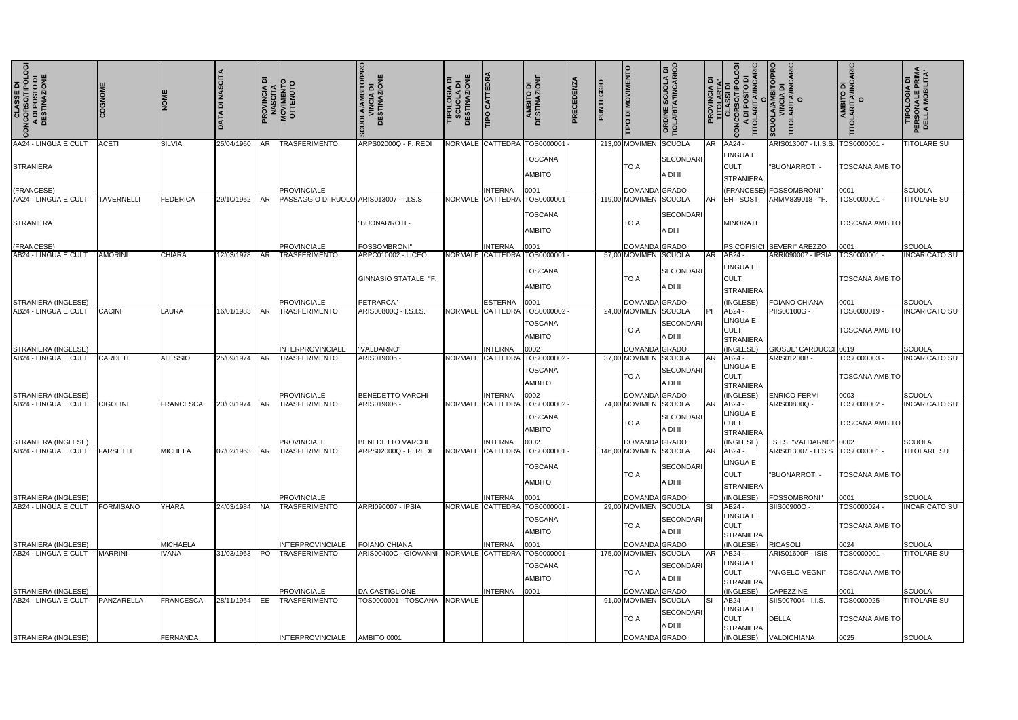| <b>CLASSE DI<br/>CONCORSO/TIPOLOGI</b><br>A DI POSTO DI<br>DESTINAZIONE | COGNOME           |                  | <b>ATA DI NASCITA</b> |           | <b>PROVINCIA DI<br/>NASCITA<br/>MOVIMENTO</b><br>OTTENUTO | MBITO/PRO<br>)IA DI<br><b>DESTINAZIONE</b><br><b>CUOLA/AI</b> | <b>IONE</b><br>TIPOLOGIA<br>SCUOLA<br>DESTINAZI | <b>IPO CATTEDR</b>        | AMBITO DI<br>DESTINAZIONE                               | PRECEDENZA | PUNTEGGIO | <b>MOVIMENTO</b><br>$\frac{1}{\sqrt{2}}$ | SCUOLA DI<br>TAYINCARICO<br>ORDINE |     | ပ္ပ<br><b>PROVINCIA DI<br/>TITOLARTA'<br/>CLASSI DI<br/>CONCORSO/TIPOLO<br/>A DI POSTO DI<br/>A DI POSTO DI</b><br>TITOLARITA/INCAF<br>$\tilde{\Omega}$ | <b>SCUOLA/AMBITO/PRO<br/>VINCIA DI<br/>TITOLARITA/INCARIC</b><br>TITOLARITA/INCARIC | AMBITO DI<br>TITOLARITA/INCARIC<br>O  | <b>TIPOLOGIA DI<br/>PERSONALE PRIMA<br/>DELLA MOBILITA'</b> |
|-------------------------------------------------------------------------|-------------------|------------------|-----------------------|-----------|-----------------------------------------------------------|---------------------------------------------------------------|-------------------------------------------------|---------------------------|---------------------------------------------------------|------------|-----------|------------------------------------------|------------------------------------|-----|---------------------------------------------------------------------------------------------------------------------------------------------------------|-------------------------------------------------------------------------------------|---------------------------------------|-------------------------------------------------------------|
| AA24 - LINGUA E CULT                                                    | <b>ACETI</b>      | <b>SILVIA</b>    | 25/04/1960            | AR.       | <b>TRASFERIMENTO</b>                                      | ARPS02000Q - F. REDI                                          |                                                 | NORMALE CATTEDRA          | TOS0000001                                              |            |           | 213,00 MOVIMEN                           | SCUOLA                             |     | AR AA24                                                                                                                                                 | ARIS013007 - I.I.S.S.                                                               | TOS0000001-                           | <b>TITOLARE SU</b>                                          |
| <b>STRANIERA</b>                                                        |                   |                  |                       |           |                                                           |                                                               |                                                 |                           | <b>TOSCANA</b><br>AMBITO                                |            |           | <b>TO A</b>                              | <b>SECONDARI</b><br>A DI II        |     | <b>LINGUA E</b><br><b>CULT</b><br><b>STRANIERA</b>                                                                                                      | "BUONARROTI                                                                         | <b>TOSCANA AMBITO</b>                 |                                                             |
| (FRANCESE)                                                              |                   |                  |                       |           | <b>PROVINCIALE</b>                                        |                                                               |                                                 | INTERNA                   | 0001                                                    |            |           | <b>DOMANDA</b> GRADO                     |                                    |     | <b>FRANCESE</b>                                                                                                                                         | <b>FOSSOMBRONI'</b>                                                                 | 0001                                  | SCUOLA                                                      |
| AA24 - LINGUA E CULT                                                    | <b>TAVERNELLI</b> | <b>FEDERICA</b>  | 29/10/1962            | <b>AR</b> | PASSAGGIO DI RUOLO ARIS013007 - I.I.S.S.                  |                                                               |                                                 | NORMALE <b> </b> CATTEDRA | TOS0000001                                              |            |           | 119,00 MOVIMEN SCUOLA                    |                                    |     | AR <b>IEH</b> SOST.                                                                                                                                     | ARMM839018 - "F.                                                                    | TOS0000001 -                          | <b>TITOLARE SU</b>                                          |
| <b>STRANIERA</b>                                                        |                   |                  |                       |           |                                                           | "BUONARROTI -                                                 |                                                 |                           | TOSCANA<br><b>AMBITO</b>                                |            |           | TO A                                     | <b>SECONDARI</b><br>A DI I         |     | <b>MINORATI</b>                                                                                                                                         |                                                                                     | <b>TOSCANA AMBITO</b>                 |                                                             |
| (FRANCESE)                                                              |                   |                  |                       |           | <b>PROVINCIALE</b>                                        | <b>FOSSOMBRONI"</b>                                           |                                                 | INTERNA                   | 0001                                                    |            |           | DOMANDA GRADO                            |                                    |     |                                                                                                                                                         | <b>PSICOFISICI SEVERI" AREZZO</b>                                                   | 0001                                  | SCUOLA                                                      |
| AB24 - LINGUA E CULT                                                    | <b>AMORINI</b>    | <b>CHIARA</b>    | 12/03/1978            | AR.       | <b>TRASFERIMENTO</b>                                      | ARPC010002 - LICEO<br><b>GINNASIO STATALE "F.</b>             |                                                 | NORMALE CATTEDRA          | TOS0000001<br><b>TOSCANA</b><br>AMBITO                  |            |           | 57,00 MOVIMEN SCUOLA<br>TO A             | <b>SECONDARI</b><br>A DI II        |     | AR AB24-<br><b>LINGUA E</b><br><b>CULT</b><br><b>STRANIERA</b>                                                                                          | <b>ARRI090007 - IPSIA</b>                                                           | TOS0000001-<br><b>TOSCANA AMBITO</b>  | <b>INCARICATO SU</b>                                        |
| <b>STRANIERA (INGLESE)</b>                                              |                   |                  |                       |           | <b>PROVINCIALE</b>                                        | PETRARCA"                                                     |                                                 | <b>ESTERNA</b>            | 0001                                                    |            |           | DOMANDA GRADO                            |                                    |     | (INGLESE)                                                                                                                                               | <b>FOIANO CHIANA</b>                                                                | 0001                                  | SCUOLA                                                      |
| AB24 - LINGUA E CULT                                                    | CACINI            | <b>LAURA</b>     | 16/01/1983            | AR.       | <b>TRASFERIMENTO</b>                                      | ARIS00800Q - I.S.I.S.                                         |                                                 | NORMALE CATTEDRA          | TOS0000002<br>TOSCANA                                   |            |           | 24,00 MOVIMEN SCUOLA<br><b>TO A</b>      | <b>SECONDARI</b>                   | PI  | AB24<br><b>LINGUA E</b><br><b>CULT</b>                                                                                                                  | PIIS00100G -                                                                        | TOS0000019 -<br><b>TOSCANA AMBITO</b> | <b>INCARICATO SU</b>                                        |
|                                                                         |                   |                  |                       |           |                                                           |                                                               |                                                 |                           | AMBITO                                                  |            |           |                                          | A DI II                            |     | <b>STRANIERA</b>                                                                                                                                        |                                                                                     |                                       |                                                             |
| <b>STRANIERA (INGLESE)</b><br>AB24 - LINGUA E CULT                      |                   |                  |                       |           | <b>INTERPROVINCIALE</b>                                   | "VALDARNO"                                                    |                                                 | INTERNA                   | 0002                                                    |            |           | <b>DOMANDA</b> GRADO                     |                                    |     | (INGLESE)                                                                                                                                               | GIOSUE' CARDUCCI 0019                                                               |                                       | SCUOLA                                                      |
|                                                                         | <b>CARDETI</b>    | <b>ALESSIO</b>   | 25/09/1974            | <b>AR</b> | <b>TRASFERIMENTO</b>                                      | ARIS019006                                                    |                                                 | NORMALE CATTEDRA          | TOS0000002<br><b>TOSCANA</b><br>AMBITO                  |            |           | 37,00 MOVIMEN SCUOLA<br>TO A             | <b>SECONDARI</b><br>A DI II        | AR  | AB24 -<br><b>LINGUA E</b><br><b>CULT</b><br><b>STRANIERA</b>                                                                                            | ARIS01200B -                                                                        | TOS0000003-<br><b>TOSCANA AMBITO</b>  | <b>INCARICATO SU</b>                                        |
| <b>STRANIERA (INGLESE)</b>                                              |                   |                  |                       |           | <b>PROVINCIALE</b>                                        | <b>BENEDETTO VARCHI</b>                                       |                                                 | INTERNA                   | 0002                                                    |            |           | DOMANDA GRADO                            |                                    |     | (INGLESE)                                                                                                                                               | <b>ENRICO FERMI</b>                                                                 | 0003                                  | SCUOLA                                                      |
| AB24 - LINGUA E CULT                                                    | <b>CIGOLINI</b>   | <b>FRANCESCA</b> | 20/03/1974 IAR        |           | <b>ITRASFERIMENTO</b>                                     | ARIS019006 -                                                  |                                                 | NORMALE CATTEDRA          | TOS0000002<br><b>TOSCANA</b><br>AMBITO                  |            |           | 74,00 MOVIMEN SCUOLA<br><b>TO A</b>      | <b>SECONDARI</b><br>A DI II        |     | AR AB24-<br><b>LINGUA E</b><br><b>CULT</b><br><b>STRANIERA</b>                                                                                          | ARIS00800Q -                                                                        | TOS0000002 -<br><b>TOSCANA AMBITO</b> | <b>INCARICATO SU</b>                                        |
| STRANIERA (INGLESE)                                                     |                   |                  |                       |           | <b>PROVINCIALE</b>                                        | <b>BENEDETTO VARCHI</b>                                       |                                                 | <b>INTERNA</b>            | 0002                                                    |            |           | DOMANDA GRADO                            |                                    |     | (INGLESE)                                                                                                                                               | I.S.I.S. "VALDARNO" 0002                                                            |                                       | SCUOLA                                                      |
| AB24 - LINGUA E CULT                                                    | FARSETTI          | <b>MICHELA</b>   | 07/02/1963 AR         |           | <b>ITRASFERIMENTO</b>                                     | ARPS02000Q - F. REDI                                          |                                                 |                           | NORMALE CATTEDRA TOS0000001<br><b>TOSCANA</b><br>AMBITO |            |           | 146,00 MOVIMEN SCUOLA<br><b>TO A</b>     | <b>SECONDARI</b><br>A DI II        |     | AR AB24-<br><b>LINGUA E</b><br><b>CULT</b><br><b>STRANIERA</b>                                                                                          | ARIS013007 - I.I.S.S. TOS0000001 -<br>"BUONARROTI-                                  | <b>TOSCANA AMBITO</b>                 | <b>TITOLARE SU</b>                                          |
| STRANIERA (INGLESE)                                                     |                   |                  |                       |           | <b>PROVINCIALE</b>                                        |                                                               |                                                 | INTERNA                   | 0001                                                    |            |           | DOMANDA GRADO                            |                                    |     | (INGLESE)                                                                                                                                               | <b>FOSSOMBRONI</b> "                                                                | 0001                                  | SCUOLA                                                      |
| IAB24 - LINGUA E CULT                                                   | <b>FORMISANO</b>  | YHARA            | 24/03/1984 <b>NA</b>  |           | <b>ITRASFERIMENTO</b>                                     | ARRI090007 - IPSIA                                            |                                                 | NORMALE CATTEDRA          | TOS0000001<br><b>TOSCANA</b><br><b>AMBITO</b>           |            |           | 29,00 MOVIMEN SCUOLA<br><b>TO A</b>      | SECONDARI<br>A DI II               | 'SI | AB24 -<br>LINGUA E<br><b>CULT</b>                                                                                                                       | SIIS00900Q -                                                                        | TOS0000024 -<br><b>TOSCANA AMBITO</b> | <b>INCARICATO SU</b>                                        |
| STRANIERA (INGLESE)                                                     |                   | <b>MICHAELA</b>  |                       |           | <b>INTERPROVINCIALE</b>                                   | <b>FOIANO CHIANA</b>                                          |                                                 | <b>INTERNA</b>            | 0001                                                    |            |           | DOMANDA GRADO                            |                                    |     | <b>STRANIERA</b><br>(INGLESE)                                                                                                                           | <b>RICASOLI</b>                                                                     | 0024                                  | SCUOLA                                                      |
| AB24 - LINGUA E CULT                                                    | <b>MARRINI</b>    | <b>IVANA</b>     | 31/03/1963 PO         |           | <b>TRASFERIMENTO</b>                                      | ARIS00400C - GIOVANNI NORMALE CATTEDRA                        |                                                 |                           | TOS0000001                                              |            |           | 175,00 MOVIMEN SCUOLA                    |                                    |     | AR AB24 -                                                                                                                                               | <b>ARIS01600P - ISIS</b>                                                            | TOS0000001 -                          | <b>TITOLARE SU</b>                                          |
|                                                                         |                   |                  |                       |           |                                                           |                                                               |                                                 |                           | TOSCANA<br><b>AMBITO</b>                                |            |           | <b>TO A</b>                              | <b>SECONDARI</b><br>A DI II        |     | <b>LINGUA E</b><br><b>CULT</b><br><b>STRANIERA</b>                                                                                                      | "ANGELO VEGNI"-                                                                     | <b>TOSCANA AMBITO</b>                 |                                                             |
| STRANIERA (INGLESE)                                                     |                   |                  |                       |           | <b>PROVINCIALE</b>                                        | <b>DA CASTIGLIONE</b>                                         |                                                 | <b>INTERNA</b>            | 0001                                                    |            |           | DOMANDA GRADO                            |                                    |     | (INGLESE)                                                                                                                                               | CAPEZZINE                                                                           | 0001                                  | SCUOLA                                                      |
| AB24 - LINGUA E CULT                                                    | PANZARELLA        | <b>FRANCESCA</b> | 28/11/1964 IEE        |           | <b>TRASFERIMENTO</b>                                      | TOS0000001 - TOSCANA NORMALE                                  |                                                 |                           |                                                         |            |           | 91,00 MOVIMEN SCUOLA<br><b>TO A</b>      | SECONDARI<br>A DI II               | SI  | AB24 -<br><b>LINGUA E</b><br><b>CULT</b><br><b>STRANIERA</b>                                                                                            | SIIS007004 - I.I.S.<br><b>DELLA</b>                                                 | TOS0000025 -<br><b>TOSCANA AMBITO</b> | <b>TITOLARE SU</b>                                          |
| <b>ISTRANIERA (INGLESE)</b>                                             |                   | <b>FERNANDA</b>  |                       |           | <b>INTERPROVINCIALE</b>                                   | AMBITO 0001                                                   |                                                 |                           |                                                         |            |           | DOMANDA GRADO                            |                                    |     | (INGLESE)                                                                                                                                               | <b>VALDICHIANA</b>                                                                  | 0025                                  | SCUOLA                                                      |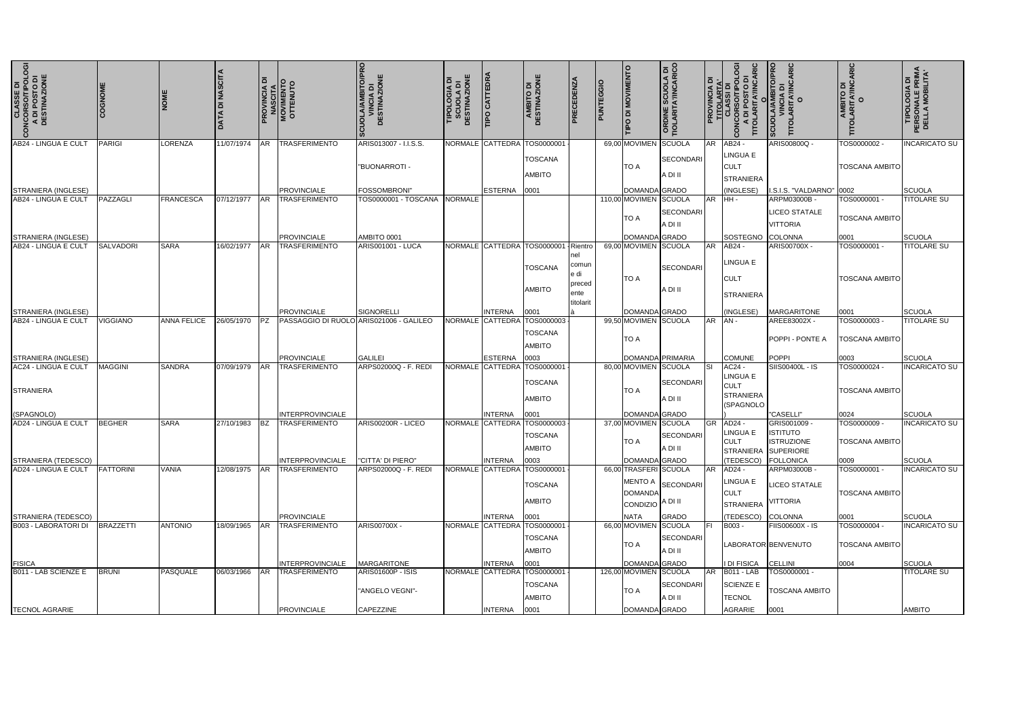| <b>CLASSE DI<br/>CONCORSO/TIPOLOGIA</b><br>A DI POSTO DI<br>DESTINAZIONE | COGNOME         | <b>NOME</b>        | <b>DATA DI NASCITA</b> | ᅙ         | <b>PROVINCIA DI<br/>NASCITA<br/>MOVIMENTO<br/>OTTENUTO</b> | SCUOLA/AMBITO/PRO<br>VINCIA DI<br>DESTINAZIONE<br>DESTINAZIONE | 쁮<br>TIPOLOGIA<br>SCUOLA<br>DESTINAZIO | <b>TIPO CATTEDRA</b>               | <b>AMBITO DI<br/>DESTINAZIONE</b>   | PRECEDENZA     | TIPO DI MOVIMENTO                   | <b>ORDINE SCUOLA DI<br/>TIOLARITA'/INCARICO</b> |        | <b>OGI</b><br>$\vec{a}$<br>۵<br>RSO/TIP<br>POSTO<br><b>TITOLARIT</b><br>ā<br>CONC | <b>CUOLA/AM</b><br>TITOL                 | O<br>TITOLARITA/INCARIC<br>AIBITO DI<br>AIBITO DI | <b>19010c</b><br>PERSONAL<br>DELLA MC |
|--------------------------------------------------------------------------|-----------------|--------------------|------------------------|-----------|------------------------------------------------------------|----------------------------------------------------------------|----------------------------------------|------------------------------------|-------------------------------------|----------------|-------------------------------------|-------------------------------------------------|--------|-----------------------------------------------------------------------------------|------------------------------------------|---------------------------------------------------|---------------------------------------|
| AB24 - LINGUA E CULT                                                     | PARIGI          | <b>LORENZA</b>     | 11/07/1974             | AR        | <b>TRASFERIMENTO</b>                                       | ARIS013007 - I.I.S.S.                                          |                                        | NORMALE CATTEDRA                   | TOS000000'                          |                | 69,00 MOVIMEN SCUOLA                |                                                 |        | AR AB24                                                                           | ARIS00800Q -                             | TOS0000002-                                       | <b>INCARICATO SU</b>                  |
|                                                                          |                 |                    |                        |           |                                                            | "BUONARROTI -                                                  |                                        |                                    | <b>TOSCANA</b>                      |                | <b>TO A</b>                         | <b>SECONDARI</b>                                |        | <b>LINGUA E</b><br><b>CULT</b>                                                    |                                          | <b>TOSCANA AMBITO</b>                             |                                       |
|                                                                          |                 |                    |                        |           |                                                            |                                                                |                                        |                                    | <b>AMBITO</b>                       |                |                                     | A DI II                                         |        | <b>STRANIERA</b>                                                                  |                                          |                                                   |                                       |
| STRANIERA (INGLESE)                                                      |                 |                    |                        |           | <b>PROVINCIALE</b>                                         | <b>FOSSOMBRONI'</b>                                            |                                        | <b>ESTERNA</b>                     | 0001                                |                | DOMANDA GRADO                       |                                                 |        | (INGLESE)                                                                         | I.S.I.S. "VALDARNO" 0002                 |                                                   | SCUOLA                                |
| AB24 - LINGUA E CULT                                                     | PAZZAGLI        | <b>FRANCESCA</b>   | 07/12/1977             | <b>AR</b> | <b>TRASFERIMENTO</b>                                       | TOS0000001 - TOSCANA NORMALE                                   |                                        |                                    |                                     |                | 110,00 MOVIMEN SCUOLA               |                                                 | AR HH- |                                                                                   | ARPM03000B -                             | TOS0000001 -                                      | <b>TITOLARE SU</b>                    |
|                                                                          |                 |                    |                        |           |                                                            |                                                                |                                        |                                    |                                     |                | <b>TO A</b>                         | <b>SECONDARI</b>                                |        |                                                                                   | <b>LICEO STATALE</b>                     | <b>TOSCANA AMBITO</b>                             |                                       |
|                                                                          |                 |                    |                        |           |                                                            |                                                                |                                        |                                    |                                     |                |                                     | A DI II                                         |        |                                                                                   | VITTORIA                                 |                                                   |                                       |
| <b>STRANIERA (INGLESE)</b>                                               |                 |                    |                        |           | <b>PROVINCIALE</b>                                         | AMBITO 0001                                                    |                                        |                                    |                                     |                | DOMANDA GRADO                       |                                                 |        | SOSTEGNO COLONNA                                                                  |                                          | 0001                                              | SCUOLA                                |
| AB24 - LINGUA E CULT                                                     | SALVADORI       | <b>SARA</b>        | 16/02/1977             | AR        | TRASFERIMENTO                                              | <b>ARIS001001 - LUCA</b>                                       |                                        | NORMALE CATTEDRA                   | TOS000000                           | Rientro<br>nel | 69,00 MOVIMEN SCUOLA                |                                                 |        | AR AB24                                                                           | ARIS00700X -                             | TOS0000001 -                                      | <b>TITOLARE SU</b>                    |
|                                                                          |                 |                    |                        |           |                                                            |                                                                |                                        |                                    | TOSCANA                             | comur          |                                     | <b>SECONDARI</b>                                |        | <b>LINGUA E</b>                                                                   |                                          |                                                   |                                       |
|                                                                          |                 |                    |                        |           |                                                            |                                                                |                                        |                                    |                                     | e di           | <b>TO A</b>                         |                                                 |        | <b>CULT</b>                                                                       |                                          | <b>TOSCANA AMBITO</b>                             |                                       |
|                                                                          |                 |                    |                        |           |                                                            |                                                                |                                        |                                    | <b>AMBITO</b>                       | preced<br>ente |                                     | A DI II                                         |        |                                                                                   |                                          |                                                   |                                       |
|                                                                          |                 |                    |                        |           |                                                            |                                                                |                                        |                                    |                                     | titolarit      |                                     |                                                 |        | <b>STRANIERA</b>                                                                  |                                          |                                                   |                                       |
| STRANIERA (INGLESE)                                                      |                 |                    |                        |           | <b>PROVINCIALE</b>                                         | SIGNORELLI                                                     |                                        | <b>INTERNA</b>                     | 0001                                |                | DOMANDA GRADO                       |                                                 |        | INGLESE)                                                                          | <b>MARGARITONE</b>                       | 0001                                              | SCUOLA                                |
| AB24 - LINGUA E CULT                                                     | <b>VIGGIANO</b> | <b>ANNA FELICE</b> | 26/05/1970             | <b>PZ</b> |                                                            | PASSAGGIO DI RUOLO ARIS021006 - GALILEO                        |                                        | NORMALE CATTEDRA                   | TOS0000003                          |                | 99,50 MOVIMEN SCUOLA                |                                                 |        | AR AN-                                                                            | AREE83002X -                             | TOS0000003-                                       | <b>TITOLARE SU</b>                    |
|                                                                          |                 |                    |                        |           |                                                            |                                                                |                                        |                                    | TOSCANA                             |                | <b>TO A</b>                         |                                                 |        |                                                                                   | POPPI - PONTE A                          | <b>TOSCANA AMBITO</b>                             |                                       |
|                                                                          |                 |                    |                        |           |                                                            |                                                                |                                        |                                    | <b>AMBITO</b>                       |                |                                     |                                                 |        |                                                                                   |                                          |                                                   |                                       |
| STRANIERA (INGLESE)<br>AC24 - LINGUA E CULT                              | <b>MAGGINI</b>  | <b>SANDRA</b>      | 07/09/1979             | <b>AR</b> | <b>PROVINCIALE</b><br><b>TRASFERIMENTO</b>                 | <b>GALILEI</b><br>ARPS02000Q - F. REDI                         |                                        | <b>ESTERNA</b><br>NORMALE CATTEDRA | 0003<br>TOS0000001                  |                |                                     | DOMANDA PRIMARIA                                | Isı    | <b>COMUNE</b><br>AC24 -                                                           | <b>POPPI</b><br>SIIS00400L - IS          | 0003<br>TOS0000024 -                              | SCUOLA<br><b>INCARICATO SU</b>        |
|                                                                          |                 |                    |                        |           |                                                            |                                                                |                                        |                                    |                                     |                | 80,00 MOVIMEN SCUOLA                |                                                 |        | <b>LINGUA E</b>                                                                   |                                          |                                                   |                                       |
| <b>STRANIERA</b>                                                         |                 |                    |                        |           |                                                            |                                                                |                                        |                                    | <b>TOSCANA</b>                      |                | <b>TO A</b>                         | <b>SECONDARI</b>                                |        | <b>CULT</b>                                                                       |                                          | <b>TOSCANA AMBITO</b>                             |                                       |
|                                                                          |                 |                    |                        |           |                                                            |                                                                |                                        |                                    | <b>AMBITO</b>                       |                |                                     | A DI II                                         |        | <b>STRANIERA</b><br>(SPAGNOLO                                                     |                                          |                                                   |                                       |
| (SPAGNOLO)                                                               |                 |                    |                        |           | <b>INTERPROVINCIALE</b>                                    |                                                                |                                        | <b>INTERNA</b>                     | 0001                                |                | DOMANDA GRADO                       |                                                 |        |                                                                                   | "CASELLI"                                | 0024                                              | SCUOLA                                |
| AD24 - LINGUA E CULT                                                     | <b>BEGHER</b>   | <b>SARA</b>        | 27/10/1983             | IBZ.      | <b>TRASFERIMENTO</b>                                       | ARIS00200R - LICEO                                             |                                        | NORMALE CATTEDRA                   | TOS0000003                          |                | 37,00 MOVIMEN SCUOLA                |                                                 |        | GR AD24 -                                                                         | GRIS001009 -                             | TOS0000009 -                                      | <b>INCARICATO SU</b>                  |
|                                                                          |                 |                    |                        |           |                                                            |                                                                |                                        |                                    | <b>TOSCANA</b>                      |                |                                     | SECONDARI                                       |        | LINGUA E                                                                          | <b>ISTITUTO</b>                          |                                                   |                                       |
|                                                                          |                 |                    |                        |           |                                                            |                                                                |                                        |                                    | <b>AMBITO</b>                       |                | <b>TO A</b>                         | A DI II                                         |        | <b>CULT</b>                                                                       | <b>ISTRUZIONE</b><br>STRANIERA SUPERIORE | <b>TOSCANA AMBITO</b>                             |                                       |
| STRANIERA (TEDESCO)                                                      |                 |                    |                        |           | <b>INTERPROVINCIALE</b>                                    | "CITTA' DI PIERO"                                              |                                        | <b>INTERNA</b>                     | 0003                                |                | DOMANDA GRADO                       |                                                 |        | (TEDESCO) FOLLONICA                                                               |                                          | 0009                                              | SCUOLA                                |
| AD24 - LINGUA E CULT                                                     | FATTORINI       | <b>VANIA</b>       | 12/08/1975             | <b>AR</b> | <b>TRASFERIMENTO</b>                                       | ARPS02000Q - F. REDI                                           |                                        |                                    | NORMALE CATTEDRA TOS0000001         |                | 66,00 TRASFERI SCUOLA               |                                                 |        | AR AD24 -                                                                         | ARPM03000B -                             | TOS0000001 -                                      | <b>INCARICATO SU</b>                  |
|                                                                          |                 |                    |                        |           |                                                            |                                                                |                                        |                                    | <b>TOSCANA</b>                      |                |                                     | MENTO A SECONDARI                               |        | LINGUA E                                                                          | <b>LICEO STATALE</b>                     |                                                   |                                       |
|                                                                          |                 |                    |                        |           |                                                            |                                                                |                                        |                                    | <b>AMBITO</b>                       |                | <b>DOMANDA</b>                      | A DI II                                         |        | <b>CULT</b>                                                                       | <b>VITTORIA</b>                          | <b>TOSCANA AMBITO</b>                             |                                       |
|                                                                          |                 |                    |                        |           |                                                            |                                                                |                                        |                                    |                                     |                | CONDIZIO                            |                                                 |        | <b>STRANIERA</b>                                                                  |                                          |                                                   |                                       |
| STRANIERA (TEDESCO)<br><b>B003 - LABORATORI DI</b>                       | BRAZZETTI       | <b>ANTONIO</b>     | 18/09/1965             | <b>AR</b> | <b>PROVINCIALE</b><br><b>TRASFERIMENTO</b>                 | ARIS00700X -                                                   |                                        | <b>INTERNA</b>                     | 0001<br>NORMALE CATTEDRA TOS0000001 |                | <b>NATA</b><br>66,00 MOVIMEN SCUOLA | <b>GRADO</b>                                    | IFL.   | (TEDESCO)<br><b>B003 -</b>                                                        | <b>COLONNA</b><br>FIIS00600X - IS        | 0001<br>TOS0000004 -                              | SCUOLA<br><b>INCARICATO SU</b>        |
|                                                                          |                 |                    |                        |           |                                                            |                                                                |                                        |                                    | TOSCANA                             |                |                                     | SECONDARI                                       |        |                                                                                   |                                          |                                                   |                                       |
|                                                                          |                 |                    |                        |           |                                                            |                                                                |                                        |                                    | <b>AMBITO</b>                       |                | <b>TO A</b>                         | A DI II                                         |        |                                                                                   | LABORATOR BENVENUTO                      | <b>TOSCANA AMBITO</b>                             |                                       |
| <b>FISICA</b>                                                            |                 |                    |                        |           | <b>INTERPROVINCIALE</b>                                    | <b>MARGARITONE</b>                                             |                                        | <b>INTERNA</b>                     | 0001                                |                | DOMANDA GRADO                       |                                                 |        | <b>I DI FISICA</b>                                                                | <b>CELLINI</b>                           | 0004                                              | SCUOLA                                |
| B011 - LAB SCIENZE E                                                     | <b>BRUNI</b>    | PASQUALE           | 06/03/1966             |           | AR TRASFERIMENTO                                           | ARIS01600P - ISIS                                              |                                        | NORMALE CATTEDRA                   | TOS0000001                          |                | 126,00 MOVIMEN SCUOLA               |                                                 |        | AR B011 - LAB                                                                     | TOS0000001 -                             |                                                   | <b>TITOLARE SU</b>                    |
|                                                                          |                 |                    |                        |           |                                                            |                                                                |                                        |                                    | TOSCANA                             |                |                                     | <b>SECONDARI</b>                                |        | <b>SCIENZE E</b>                                                                  |                                          |                                                   |                                       |
|                                                                          |                 |                    |                        |           |                                                            | "ANGELO VEGNI"-                                                |                                        |                                    | <b>AMBITO</b>                       |                | TO A                                | A DI II                                         |        | <b>TECNOL</b>                                                                     | TOSCANA AMBITO                           |                                                   |                                       |
| <b>TECNOL AGRARIE</b>                                                    |                 |                    |                        |           | <b>PROVINCIALE</b>                                         | CAPEZZINE                                                      |                                        | <b>INTERNA</b>                     | 0001                                |                | DOMANDA GRADO                       |                                                 |        | AGRARIE                                                                           | 0001                                     |                                                   | AMBITO                                |